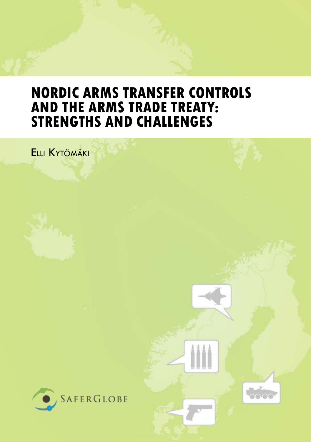## **Nordic Arms Transfer Controls and the Arms Trade Treaty: StrengtHs and Challenges**

Elli Kytömäki



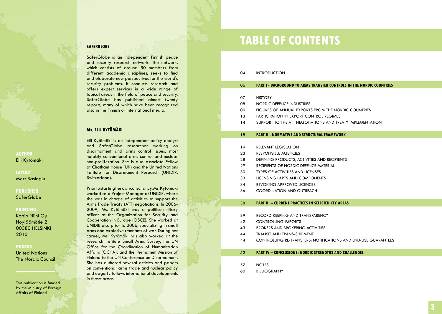SaferGlobe is an independent Finnish peace and security research network. The network, which consists of around 50 members from different academic disciplines, seeks to find and elaborate new perspectives for the world's security problems. It conducts research and offers expert services in a wide range of topical areas in the field of peace and security. SaferGlobe has published almost twenty reports, many of which have been recognized also in the Finnish or international media.

### **Ms. Elli Kytömäki**

Elli Kytömäki is an independent policy analyst and SaferGlobe researcher working on disarmament and arms control issues, most notably conventional arms control and nuclear non-proliferation. She is also Associate Fellow at Chatham House (UK) and the United Nations Institute for Disarmament Research (UNI D I R, Switzerland).

Prior to starting her own consultancy, Ms. Kytömäki worked as a Project Manager at UNI D I R, where she was in charge of activities to support the Arms Trade Treaty (ATT) negotiations. In 2006- 2009, Ms. Kytömäki was a politico-military officer at the Organization for Security and Cooperation in Europe (OSCE). She worked at UNIDIR also prior to 2006, specializing in small arms and explosive remnants of war. During her career, Ms. Kytömäki has also worked at the research institute Small Arms Survey, the UN Office for the Coordination of Humanitarian Affairs (OCHA), and the Permanent Mission of Finland to the UN Conference on Disarmament. She has authored several articles and papers on conventional arms trade and nuclear policy and eagerly follows international developments in these areas.

# **EXAMPLE OF CONTENTS**

#### 04 INTRODU

#### 06 **PA RT I - Backgrou nd to arms ransfer controls i the Nordic countries t n**

- 07 **HISTORY**
- 08 N ordic defence in dust ries
- 09 FIGURES OF ANNUAL EXPORTS FROM THE NORDIC COUNTRIE
- $13$ RTICIPATION IN EXPORT CONTROL RI
- 14 SUPPORT TO THE ATT NEGOTIATIONS AND TREATY IMPLE

#### 18 **PA RT II - Normative and s truc tur al fr amework**

- 19 Rele RELEVANT LEGISLATION
- 23 PONSIBLE A
- 28 DEFINING PRODUCTS, ACTIVITIES AND RECIPIE
- 29 Reci PIENTS OF NORDIC DEFENCE MATERIA
- 30 TYPES OF ACTIVITIES AND LI
- 33 LICENSING PARTS AND COMPC
- $34$ **VOKING APPROVED LI**
- 36 COORDINATION AND OUTRE.

#### 38 **PA RT III – Current Pr c tices i Selec ted Key Are s a n a**

- 39 RECORD-KEEPING AND TRANSPARENCY
- 42 CONTROLLING IMPORT
- 43 B ROKERS AND BROKERING ACTIVIT
- 44 TRANSIT AND TRANS-SHIPM
- 44 CONTROLLING RE-TRANSFERS: NOTIFICATIONS AND END-USE GUARA

#### 52 **RT IV – C o nclusio ns: Nordic Stre g ths and C h alle nges n**

- 57 **NOTES**
- 60 **BLIOGRAPHY**

## **AUTHOR** Elli Kytömäki

## **layout**

Mert Sasioglu

## **Publisher SaferGlobe**

#### **printing**

Kopio Niini Oy Höyläämötie 2 00380 HELSINKI 2015

### **photos**

United Nations The Nordic Council

This publication is funded by the Ministry of Foreign Affairs of Finland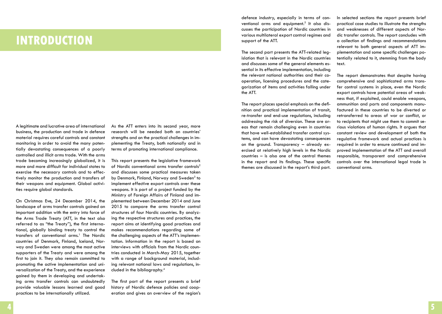## **introduction**

A legitimate and lucrative area of international business, the production and trade in defence material requires careful controls and constant monitoring in order to avoid the many potentially devastating consequences of a poorly controlled and illicit arms trade. With the arms trade becoming increasingly globalized, it is more and more difficult for individual states to exercise the necessary controls and to effectively monitor the production and transfers of their weapons and equipment. Global activities require global standards.

On Christmas Eve, 24 December 2014, the landscape of arms transfer controls gained an important addition with the entry into force of the Arms Trade Treaty (ATT, in the text also referred to as "the Treaty"), the first international, globally binding treaty to control the transfers of conventional arms.<sup>1</sup> The Nordic countries of Denmark, Finland, Iceland, Norway and Sweden were among the most active supporters of the Treaty and were among the first to join it. They also remain committed to promoting the active implementation and universalization of the Treaty, and the experience gained by them in developing and undertaking arms transfer controls can undoubtedly provide valuable lessons learned and good practices to be internationally utilized.

As the ATT enters into its second year, more research will be needed both on countries' strengths and on the practical challenges in implementing the Treaty, both nationally and in terms of promoting international compliance.

This report presents the legislative framework of Nordic conventional arms transfer controls<sup>2</sup> and discusses some practical measures taken by Denmark, Finland, Norway and Sweden<sup>3</sup> to implement effective export controls over these weapons. It is part of a project funded by the Ministry of Foreign Affairs of Finland and implemented between December 2014 and June 2015 to compare the arms transfer control structures of four Nordic countries. By analyzing the respective structures and practices, the report aims at identifying good practices and makes recommendations regarding some of the challenging aspects of the ATT's implementation. Information in the report is based on interviews with officials from the Nordic countries conducted in March-May 2015, together with a range of background material, including relevant national laws and regulations, included in the bibliography.4

The first part of the report presents a brief history of Nordic defence policies and cooperation and gives an overview of the region's

defence industry, especially in terms of conventional arms and equipment.<sup>5</sup> It also discusses the participation of Nordic countries in various multilateral export control regimes and support of the ATT.

The second part presents the ATT-related legislation that is relevant in the Nordic countries and discusses some of the general elements essential in its effective implementation, including the relevant national authorities and their cooperation, licensing procedures and the categorization of items and activities falling under the ATT.

The report places special emphasis on the definition and practical implementation of transit, re-transfer and end-use regulations, including addressing the risk of diversion. These are areas that remain challenging even in countries that have well-established transfer control systems, and can have devastating consequences on the ground. Transparency – already exercised at relatively high levels in the Nordic countries – is also one of the central themes in the report and its findings. These specific themes are discussed in the report's third part.

In selected sections the report presents brief practical case studies to illustrate the strengths and weaknesses of different aspects of Nordic transfer controls. The report concludes with a collection of findings and recommendations relevant to both general aspects of ATT implementation and some specific challenges potentially related to it, stemming from the body text.

The report demonstrates that despite having comprehensive and sophisticated arms transfer control systems in place, even the Nordic export controls have potential areas of weakness that, if exploited, could enable weapons, ammunition and parts and components manufactured in these countries to be diverted or retransferred to areas of war or conflict, or to recipients that might use them to commit serious violations of human rights. It argues that constant review and development of both the regulative framework and actual practices is required in order to ensure continued and improved implementation of the ATT and overall responsible, transparent and comprehensive controls over the international legal trade in conventional arms.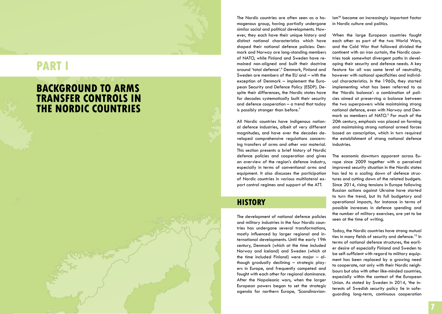# **RT** I

## **BACKGROUND TO ARMS t ransfer controls i n the Nordic countries**

The Nordic countries are often seen as a ho mogenous group, having partially undergone similar social and political developments. How ever, they each have their unique history and distinct national characteristics which have shaped their national defence policies: Den mark and Norway are long-standing members of NATO, while Finland and Sweden have re mained non-aligned and built their doctrine around 'total defence'. 6 Denmark, Finland and Sweden are members of the EU and – with the exception of Denmark – implement the Euro pean Security and Defence Policy (ESDP). D e spite their differences, the Nordic states have for decades systematically built their security and defence cooperation – a trend that today is possibly stronger than before. 7

All Nordic countries have indigenous nation al defence industries, albeit of very different magnitudes, and have over the decades de veloped comprehensive regulations concern ing transfers of arms and other war material. This section presents a brief history of Nordic defence policies and cooperation and gives an overview of the region's defence industry, especially in terms of conventional arms and equipment. It also discusses the participation of Nordic countries in various multilateral ex port control regimes and support of the ATT.

## **History**

The development of national defence policies and military industries in the four Nordic coun tries has undergone several transformations, mostly influenced by larger regional and in ternational developments. Until the early 19th century, Denmark (which at the time included Norway and Iceland) and Sweden (which at the time included Finland) were major – al though gradually declining – strategic play ers in Europe, and frequently competed and fought with each other for regional dominance. After the Napoleonic wars, when the larger European powers began to set the strategic agenda for northern Europe, 'Scandinavian -

ism' 8 became an increasingly important factor in Nordic culture and politics.

When the large European countries fought each other as part of the two World Wars, and the Cold War that followed divided the continent with an iron curtain, the Nordic coun tries took somewhat divergent paths in devel oping their security and defence needs. A key feature for all was some level of neutrality, however with national specificities and individ ual characteristics. In the 1960s, they started implementing what has been referred to as the 'Nordic balance': a combination of poli cies aimed at preserving a balance between the two superpowers while maintaining strong national defence, even with Norway and Den mark as members of NATO. 9 For much of the 20th century, emphasis was placed on forming and maintaining strong national armed forces based on conscription, which in turn required the establishment of strong national defence industries.

The economic downturn apparent across Eu rope since 2009 together with a perceived improved security situation in the Nordic states has led to a scaling down of defence struc tures and cutting down of the related budgets. Since 2014, rising tensions in Europe following Russian actions against Ukraine have started to turn the trend, but its full budgetary and operational impacts, for instance in terms of possible increases in defence spending and the number of military exercises, are yet to be seen at the time of writing.

Today, the Nordic countries have strong mutual ties in many fields of security and defence.<sup>10</sup> In terms of national defence structures, the earli er desire of especially Finland and Sweden to be self-sufficient with regard to military equip ment has been replaced by a growing need to cooperate, not only with their Nordic neigh bours but also with other like-minded countries, especially within the context of the European Union. As stated by Sweden in 2014, 'the interests of Swedish security policy lie in safe guarding long-term, continuous cooperation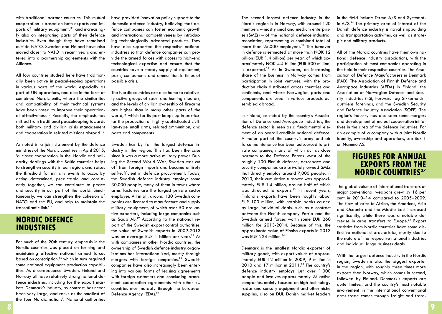with traditional partner countries. This mutual cooperation is based on both exports and imports of military equipment,<sup>'11</sup> and increasingly also on integrating parts of their defence industries. Even though they have remained outside NATO, Sweden and Finland have also moved closer to NATO in recent years and entered into a partnership agreements with the Alliance.

All four countries studied here have traditionally been active in peacekeeping operations in various parts of the world, especially as part of UN operations, and also in the form of combined Nordic units, where the similarities and compatibility of their technical systems have been noted to improve their operational effectiveness.12 Recently, the emphasis has shifted from traditional peacekeeping towards both military and civilian crisis management and cooperation in related missions abroad.<sup>13</sup>

As noted in a joint statement by the defence ministries of the Nordic countries in April 2015, 'a closer cooperation in the Nordic and solidarity dealings with the Baltic countries helps to strengthen security in our region, and raises the threshold for military events to occur. By acting determined, predictable and consistently together, we can contribute to peace and security in our part of the world. Simultaneously, we can strengthen the cohesion of NATO and the EU, and help to maintain the transatlantic link.'14

## **Nordic defence industries**

For much of the 20th century, emphasis in the Nordic countries was placed on forming and maintaining effective national armed forces based on conscription, $15$  which in turn required some national equipment production capabilities. As a consequence Sweden, Finland and Norway all have relatively strong national defence industries, including for the export markets. Denmark's industry, by contrast, has never been very large, and ranks as the smallest of the four Nordic nations'. National authorities

have provided innovation policy support to the domestic defence industry, believing that defence companies can foster economic growth and international competitiveness by introducing technologically advanced products. They have also supported the respective national industries so that defence companies can provide the armed forces with access to high-end technological expertise and ensure that the countries have a steady supply of equipment, parts, components and ammunition in times of possible crisis.

The Nordic countries are also home to relatively active groups of sport and hunting shooters, and the levels of civilian ownership of firearms are higher than in many other parts of the world,<sup>16</sup> which for its part keeps up in particular the production of highly sophisticated civilian-type small arms, related ammunition, and parts and components.

Sweden has by far the largest defence industry in the region. This has been the case since it was a more active military power. During the Second World War, Sweden was cut off from foreign imports and became entirely self-sufficient in defence procurement. Today, the Swedish defence industry employs some 30,000 people, many of them in towns where arms factories are the largest private sector employer. All in all, around 130 Swedish companies are licensed to manufacture and supply military equipment, of which over 50 are active exporters, including large companies such as Saab AB. 17 According to the national report of the Swedish export control authorities, the value of Swedish exports in 2009-2013 was on average EUR 1 billion per year.<sup>18</sup> As with companies in other Nordic countries, the ownership of Swedish defence industry organizations has internationalized, mostly through mergers with foreign companies.<sup>19</sup> Swedish companies have also increasingly been entering into various forms of leasing agreements with foreign customers and concluding armament cooperation agreements with other EU countries most notably through the European Defence Agency (EDA).<sup>20</sup>

The second largest defence industry in the Nordic region is in Norway, with around 120 members – mostly smal and medium enterprises (SMEs) – of the national defence industrial association, representing a combined total of more than  $25,000$  employees.<sup>21</sup> The turnover in defence is estimated at more than NOK 12 billion (EUR 1.4 billion) per year, of which approximately NOK 4.4 billion (EUR 500 million) is exported. $22$  As in Sweden, an increasing share of the business in Norway comes from participation in joint ventures, with the production chain distributed across countries and continents, and where Norwegian parts and components are used in various products assembled abroad.

In Finland, as noted by the country's Association of Defence and Aerospace Industries, the defence sector is seen as a fundamental element of an overall credible national defence. A major part of the country's army and air force maintenance has been outsourced to private companies, many of which act as close partners to the Defence Forces. Most of the roughly 100 Finnish defence, aerospace and security companies are privately owned SMEs that directly employ around 7,000 people. In 2013, their cumulative turnover was approximately EUR 1.4 billion, around half of which was directed to exports. $23$  In recent years, Finland`s exports have been roughly about EUR 100 million, with notable peaks caused by large individual deals, such as a contract between the Finnish company Patria and the Swedish armed forces worth some EUR 260 million for 2013-2014. Because of this, the approximate value of Finnish exports in 2013 was EUR 224 million.<sup>24</sup>

Denmark is the smallest Nordic exporter of military goods, with export values of approximately EUR 12 million in 2009, 9 million in 2010 and 17 million in  $2011.^{25}$  The country's defence industry employs just over 1,000 people and involves approximately 25 active companies, mainly focused on high-technology radar and sensory equipment and other niche supplies, also on DUI. Danish market leaders in the field include Terma A/S and Systematic  $A/S<sup>26</sup>$  The primary area of interest of the Danish defence industry is naval shipbuilding and transportation activities, as well as strategic and military products.

All of the Nordic countries have their own national defence industry associations, with the participation of most companies operating in the field in their respective countries: The Association of Defence Manufacturers in Denmark (FAD), The Association of Finnish Defence and Aerospace Industries (AFDA) in Finland, the Association of Norwegian Defence and Security Industries (FSi, Forsvars- og Sikkerhetsindustriens forening), and the Swedish Security and Defence Industry Association (SOFF). The region's industry has also seen some mergers and development of mutual cooperation initiatives in the area of the defence industries. For an example of a company with a joint Nordic identity, ownership and operations, see Box 1 on Nammo AS.

## **Figures for annual exports from the Nordic countries<sup>27</sup>**

The global volume of international transfers of major conventional weapons grew by 16 per cent in 2010–14 compared to 2005–2009. The flow of arms to Africa, the Americas, Asia and Oceania and the Middle East increased significantly, while there was a notable decrease in arms transfers to Europe.28 Export statistics from Nordic countries have some distinctive national characteristics, mostly due to the nature of the respective national industries and individual large business deals.

With the largest defence industry in the Nordic region, Sweden is also the biggest exporter in the region, with roughly three times more exports than Norway, which comes in second, followed by Finland. Denmark's exports are quite limited, and the country's most notable involvement in the international conventional arms trade comes through freight and trans-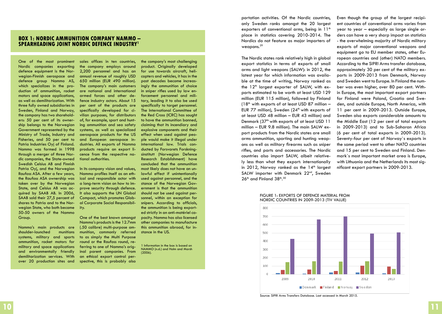### **Box 1: Nordic Ammunition Company Nammo – Spearheading Joint Nordic defence industry1**

One of the most prominent Nordic companies exporting defence equipment is the Norwegian-Finnish aerospace and defence group Nammo AS, which specializes in the production of ammunition, rocket motors and space applications, as well as demilitarization. With three fully owned subsidiaries in Sweden, Finland and Norway, the company has two shareholders: 50 per cent of its ownership belongs to the Norwegian Government represented by the Ministry of Trade, Industry and Fisheries, and 50 per cent to Patria Industries Oyj of Finland. Nammo was formed in 1998 through a merger of three Nordic companies, the State-owned Swedish Celsius AB and Finnish Patria Oyj, and the Norwegian Raufoss ASA. After a few years, the Raufoss ASA ownership was taken over by the Norwegian State, and Celsius AB was acquired by SAAB AB. In 2006, SAAB sold their 27,5 percent of shares to Patria and to the Norwegian State, who both became 50-50 owners of the Nammo Group.

Nammo's main products are shoulder-launched munitions systems, military and sports ammunition, rocket motors for military and space applications and environmentally friendly demilitarization services. With over 20 production sites and sales offices in ten countries, the company employs around 2,200 personnel and has an annual revenue of roughly USD 650 million (EUR 490 million). The company's main customers are national and international armed forces and other defence industry actors. About 15 per cent of the products are specifically developed for civilian purposes, for distributors of, for example, sport and hunting ammunition and sea safety systems, as well as specialized aerospace products for the US and European aerospace industries. All exports of Nammo products require an export licence from the respective national authorities.

In its company vision and values, Nammo profiles itself as an ethical and responsible actor with a long-term vision on how to improve security through defence. It also supports the UN Global Compact, which promotes Global Corporate Social Responsibility.

One of the best known amongst Nammo's products is the 12.7mm (.50 calibre) multi-purpose ammunition, commonly referred to as simply the Multi Purpose round or the Raufoss round, referring to one of Nammo's original parent companies. From an ethical export control perspective, this is probably also

the company's most challenging product. Originally developed for use towards aircraft, helicopters and vehicles, it has in the past decades become increasingly the ammunition of choice in sniper rifles used by law enforcement personnel and military, leading it to also be used specifically to target personnel. The International Committee of the Red Cross (ICRC) has sought to have the ammunition banned, claiming that its incendiary and explosive components and their effect when used against people would make it illegal under international law. Trials conducted by Forsvarets Forskningsinstitutt (Norwegian Defence Research Establishment) have concluded that the ammunition most likely does not have an unlawful effect if unintentionally used against personnel, and the stance of the Norwegian Government is that the ammunition should not be used against personnel, within an exception for snipers. According to officials, the ammunition is being exported strictly in an anti-matériel capacity. Nammo has also licensed other companies to manufacture this ammunition abroad, for instance in the US.

1 Information in the box is based on NAMMO (n.d.) and Holm and Marsh (2006).

portation activities. Of the Nordic countries, only Sweden ranks amongst the 20 largest exporters of conventional arms, being in  $11<sup>th</sup>$ place in statistics covering 2010-2014. The Nordics do not feature as major importers of weapons.<sup>29</sup>

The Nordic states rank relatively high in global export statistics in terms of exports of small arms and light weapons (SALW): in 2012, the latest year for which information was available at the time of writing, Norway ranked as the  $12<sup>th</sup>$  largest exporter of SALW, with exports estimated to be worth at least USD 129 million (EUR 115 million), followed by Finland  $(18<sup>th</sup>$  with exports of at least USD 87 million -EUR 77 million), Sweden  $(24<sup>th</sup>$  with exports of at least USD 48 million – EUR 43 million) and Denmark (37<sup>th</sup> with exports of at least USD 11 million – EUR 9.8 million). The main SALW export products from the Nordic states are small arms ammunition, sporting and hunting weapons as well as military firearms such as sniper rifles, and parts and accessories. The Nordic countries also import SALW, albeit relatively less than what they export: internationally in 2012, Norway ranked as the  $14<sup>th</sup>$  largest SALW importer with Denmark 22<sup>nd</sup>, Sweden  $26<sup>th</sup>$  and Finland  $38<sup>th</sup>$ .<sup>30</sup>

Even though the group of the largest recipient countries of conventional arms varies from year to year – especially as large single orders can have a very sharp impact on statistics - the overwhelming majority of Nordic military exports of major conventional weapons and equipment go to EU member states, other European countries and (other) NATO members. According to the SIPRI Arms transfer database, approximately 30 per cent of the military exports in 2009-2013 from Denmark, Norway and Sweden went to Europe. In Finland the number was even higher, over 80 per cent. Within Europe, the most important export partners for Finland were Poland, Croatia and Sweden, and outside Europe, North America, with 11 per cent in 2009-2013. Outside Europe, Sweden also exports considerable amounts to the Middle East (12 per cent of total exports in 2009-2013) and to Sub-Saharan Africa (6 per cent of total exports in 2009-2013). Seventy-four per cent of Norway`s exports in the same period went to other NATO countries and 15 per cent to Sweden and Finland. Denmark`s most important market area is Europe, with Lithuania and the Netherlands its most significant export partners in 2009-2013.

#### Figure 1: Exports of defence material from Nordic countries in 2009-2013 (TIV value)



Source: SIPRI Arms Transfers Database. Last accessed in March 2015.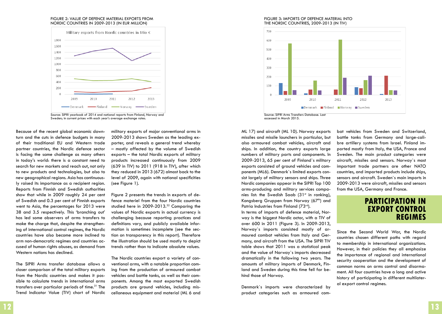#### Figure 2: Value of defence material exports from Nordic countries in 2009-2013 (in EUR million)



Source: SIPRI yearbook of 2014 and national reports from Finland, Norway and Sweden; in current prices with each year's average exchange rates.

Because of the recent global economic downturn and the cuts in defence budgets in many of their traditional EU and Western trade partner countries, the Nordic defence sector is facing the same challenge as many others in today's world: there is a constant need to search for new markets and reach out, not only to new products and technologies, but also to new geographical regions. Asia has continuously raised its importance as a recipient region. Reports from Finnish and Swedish authorities show that while in 2009 roughly 24 per cent of Swedish and 0.3 per cent of Finnish exports went to Asia, the percentages for 2013 were 38 and 3.5 respectively. This 'branching out' has led some observers of arms transfers to make the charge that, despite the strengthening of international control regimes, the Nordic countries have also become more inclined to arm non-democratic regimes and countries accused of human rights abuses, as demand from Western nations has declined.

The SIPRI Arms transfer database allows a closer comparison of the total military exports from the Nordic countries and makes it possible to calculate trends in international arms transfers over particular periods of time.<sup>31</sup> The Trend Indicator Value (TIV) chart of Nordic military exports of major conventional arms in 2009-2013 shows Sweden as the leading exporter, and reveals a general trend whereby – mostly affected by the volume of Swedish exports – the total Nordic exports of military products increased continuously from 2009 (639 in TIV) to 2011 (918 in TIV), after which they reduced in 2013 (672) almost back to the level of 2009, again with national specificities (see Figure 1).

Figure 2 presents the trends in exports of defence materiel from the four Nordic countries studied here in 2009-2013.<sup>32</sup> Comparing the values of Nordic exports in actual currency is challenging because reporting practices and definitions vary, and publicly available information is sometimes incomplete (see the section on transparency in this report). Therefore the illustration should be used mostly to depict trends rather than to indicate absolute values.

The Nordic countries export a variety of conventional arms, with a notable proportion coming from the production of armoured combat vehicles and battle tanks, as well as their components. Among the most exported Swedish products are ground vehicles, including miscellaneous equipment and material (ML 6 and

#### Figure 3: Imports of defence material into the Nordic countries, 2009-2013 (in TIV)



ML 17) and aircraft (ML 10). Norway exports missiles and missile launchers in particular, but also armoured combat vehicles, aircraft and ships. In addition, the country exports large numbers of military parts and components. In 2009-2013, 65 per cent of Finland`s military exports consisted of ground vehicles and components (ML6). Denmark`s limited exports consist largely of military sensors and ships. Three Nordic companies appear in the SIPRI Top 100 arms-producing and military services companies list: the Swedish Saab  $(31<sup>st</sup>$  in ranking), Kongsberg Gruppen from Norway (67<sup>th</sup>) and Patria Industries from Finland (73rd).

In terms of imports of defence material, Norway is the biggest Nordic actor, with a TIV of over 600 in 2011 (Figure 3). In 2009-2013, Norway`s imports consisted mostly of armoured combat vehicles from Italy and Germany, and aircraft from the USA. The SIPRI TIV table shows that 2011 was a statistical peak and the value of Norway`s imports decreased dramatically in the following two years. The amounts of military imports of Denmark, Finland and Sweden during this time fell far behind those of Norway.

Denmark`s imports were characterized by product categories such as armoured combat vehicles from Sweden and Switzerland, battle tanks from Germany and large-calibre artillery systems from Israel. Finland imported mostly from Italy, the USA, France and Sweden. The main product categories were aircraft, missiles and sensors. Norway`s most important trade partners are other NATO countries, and imported products include ships, sensors and aircraft. Sweden`s main imports in 2009-2013 were aircraft, missiles and sensors from the USA, Germany and France.

## **Participation in export control regimes**

Since the Second World War, the Nordic countries chosen different paths with regard to membership in international organizations. However, in their policies they all emphasize the importance of regional and international security cooperation and the development of common norms on arms control and disarmament. All four countries have a long and active history of participating in different multilateral export control regimes.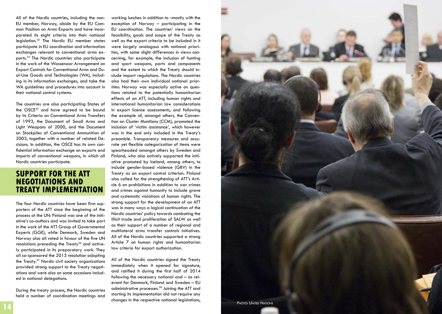All of the Nordic countries, including the non-EU member, Norway, abide by the EU Common Position on Arms Exports and have incorporated its eight criteria into their national legislation.33 The Nordic EU member states participate in EU coordination and information exchanges relevant to conventional arms ex ports.34 The Nordic countries also participate in the work of the Wassenaar Arrangement on Export Controls for Conventional Arms and D u al-Use Goods and Technologies (WA), includ ing in its information exchanges, and take the WA guidelines and procedures into account in their national control systems.

The countries are also participating States of the OSCE<sup>35</sup> and have agreed to be bound by its Criteria on Conventional Arms Transfers of 1993, the Document of Small Arms and Light Weapons of 2000, and the Document on Stockpiles of Conventional Ammunition of 2003, together with a number of related D e cisions. In addition, the OSCE has its own con fidential information exchange on exports and imports of conventional weapons, in which all Nordic countries participate.

## **Support for the ATT negotiations and Treaty im plementatio**

The four Nordic countries have been firm sup porters of the ATT since the beginning of the process at the UN: Finland was one of the initi ative's co-authors and was invited to take part in the work of the ATT Group of Governmental Experts (GGE), while Denmark, Sweden and Norway also all voted in favour of the five UN resolutions preceding the Treaty<sup>36</sup> and actively participated in its preparatory work. They all co-sponsored the 2013 resolution adopting the Treaty.37 Nordic civil society organizations provided strong support to the Treaty negoti ations and were also on some occasions includ ed in national delegations.

During the treaty process, the Nordic countries held a number of coordination meetings and working lunches in addition to –mostly with the exception of Norway – participating in the EU coordination. The countries' views on the feasibility, goals and scope of the Treaty as well as the export criteria to be included in it were largely analogous with national priori ties, with some slight differences in views con cerning, for example, the inclusion of hunting and sport weapons, parts and components and the extent to which the Treaty should in clude import regulations. The Nordic countries also had their own individual national prior ities: Norway was especially active on ques tions related to the potentially humanitarian effects of an ATT, including human rights and international humanitarian law considerations in export licence assessments, and following the example of, amongst others, the Conven tion on Cluster Munitions (CCM), promoted the inclusion of 'victim assistance', which however was in the end only included in the Treaty's preamble. Transparency measures and accu rate yet flexible categorization of items were spearheaded amongst others by Sweden and Finland, who also actively supported the initi ative promoted by Iceland, among others, to include gender-based violence (GBV) in the Treaty as an export control criterion. Finland also called for the strengthening of ATT's Arti cle 6 on prohibitions in addition to war crimes and crimes against humanity to include grave and systematic violations of human rights. The strong support for the development of an ATT was in many ways a logical continuation of the Nordic countries' policy towards combating the illicit trade and proliferation of SALW as well as their support of a number of regional and multilateral arms transfer controls initiatives. All of the Nordic countries supported a strong Article 7 on human rights and humanitarian law criteria for export authorization.

All of the Nordic countries signed the Treaty immediately when it opened for signature, and ratified it during the first half of 2014 following the necessary national and - as relevant for Denmark, Finland and Sweden – EU administrative processes.<sup>38</sup> Joining the ATT and starting its implementation did not require any changes in the respective national legislations,

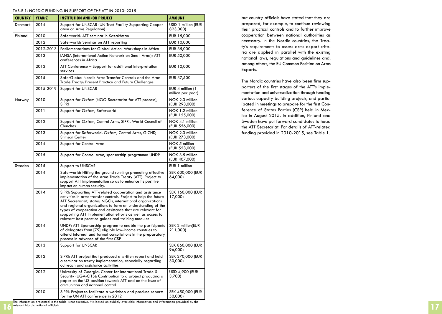#### TABLE 1: NORDIC FUNDING IN SUPPORT OF THE ATT IN 2010–2015

| <b>COUNTRY</b> | YEAR(S)   | <b>INSTITUTION AND/OR PROJECT</b>                                                                                                                                                                                                                                                                                                                                                                                                         | <b>AMOUNT</b>                         |
|----------------|-----------|-------------------------------------------------------------------------------------------------------------------------------------------------------------------------------------------------------------------------------------------------------------------------------------------------------------------------------------------------------------------------------------------------------------------------------------------|---------------------------------------|
| Denmark        | 2014      | Support for UNSCAR (UN Trust Facility Supporting Cooper-<br>ation on Arms Regulation)                                                                                                                                                                                                                                                                                                                                                     | USD 1 million (EUR<br>823,000)        |
| Finland        | 2010      | Saferworld: ATT seminar in Kazakhstan                                                                                                                                                                                                                                                                                                                                                                                                     | EUR 15,000                            |
|                | 2012      | Saferworld: Seminar on ATT reporting                                                                                                                                                                                                                                                                                                                                                                                                      | EUR 10,000                            |
|                | 2012-2013 | Parliamentarians for Global Action: Workshops in Africa                                                                                                                                                                                                                                                                                                                                                                                   | EUR 35,000                            |
|                | 2013      | IANSA (international Action Network on Small Arms); ATT<br>conferences in Africa                                                                                                                                                                                                                                                                                                                                                          | EUR 50,000                            |
|                | 2013      | ATT Conference - Support for additional interpretation<br>services                                                                                                                                                                                                                                                                                                                                                                        | EUR 10,000                            |
|                | 2015      | SaferGlobe: Nordic Arms Transfer Controls and the Arms<br>Trade Treaty: Present Practice and Future Challenges                                                                                                                                                                                                                                                                                                                            | EUR 37,500                            |
|                |           | 2015-2019   Support for UNSCAR                                                                                                                                                                                                                                                                                                                                                                                                            | EUR 4 million (1<br>million per year) |
| Norway         | 2010      | Support for Oxfam (NGO Secretariat for ATT process),<br><b>SIPRI</b>                                                                                                                                                                                                                                                                                                                                                                      | NOK 2.3 million<br>(EUR 293,000)      |
|                | 2011      | Support for Oxfam, Saferworld                                                                                                                                                                                                                                                                                                                                                                                                             | NOK 1.2 million<br>(EUR 155,000)      |
|                | 2012      | Support for Oxfam, Control Arms, SIPRI, World Council of<br>Churches                                                                                                                                                                                                                                                                                                                                                                      | NOK 4.1 million<br>(EUR 556,000)      |
|                | 2013      | Support for Saferworld, Oxfam, Control Arms, GICHD,<br>Stimson Center                                                                                                                                                                                                                                                                                                                                                                     | NOK 2.3 million<br>(EUR 273,000)      |
|                | 2014      | Support for Control Arms                                                                                                                                                                                                                                                                                                                                                                                                                  | NOK 5 million<br>(EUR 553,000)        |
|                | 2015      | Support for Control Arms, sponsorship programme UNDP                                                                                                                                                                                                                                                                                                                                                                                      | NOK 3.5 million<br>(EUR 407,000)      |
| Sweden         | 2015      | Support to UNSCAR                                                                                                                                                                                                                                                                                                                                                                                                                         | EUR 1 million                         |
|                | 2014      | Saferworld: Hitting the ground running: promoting effective<br>implementation of the Arms Trade Treaty (ATT). Project to<br>support ATT implementation so as to enhance its positive<br>impact on human security.                                                                                                                                                                                                                         | SEK 600,000 (EUR<br>64,000            |
|                | 2014      | SIPRI: Supporting ATT-related cooperation and assistance<br>activities in arms transfer controls. Project to help the future<br>ATT Secretariat, states, NGOs, international organizations<br>and regional organizations to form an understanding of the<br>types of cooperation and assistance that are relevant for<br>supporting ATT implementation efforts as well as access to<br>relevant best practice guides and training modules | SEK 160,000 (EUR<br>17,000)           |
|                | 2014      | UNDP: ATT Sponsorship-program to enable the participants<br>of delegates from [79] eligible low-income countries to<br>attend informal and formal consultations in the preparatory<br>process in advance of the first CSP                                                                                                                                                                                                                 | SEK 2 million(EUR<br>211,000)         |
|                | 2013      | Support for UNSCAR                                                                                                                                                                                                                                                                                                                                                                                                                        | SEK 860,000 (EUR<br>96,000)           |
|                | 2012      | SIPRI: ATT project that produced a written report and held<br>a seminar on treaty implementation, especially regarding<br>outreach and assistance activities                                                                                                                                                                                                                                                                              | SEK 270,000 (EUR<br>30,000)           |
|                | 2012      | University of Georgia, Center for International Trade &<br>Security (UGA-CITS): Contribution to a project producing a<br>paper on the US position towards ATT and on the issue of<br>ammunition and national control                                                                                                                                                                                                                      | <b>USD 4,900 (EUR</b><br>3,700        |
|                | 2010      | SIPRI: Project to facilitate a workshop and produce reports<br>for the UN ATT conference in 2012                                                                                                                                                                                                                                                                                                                                          | SEK 450,000 (EUR<br>50,000)           |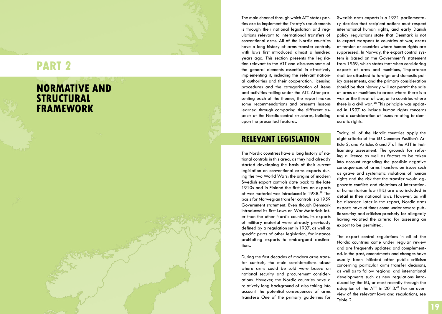# **RT 2**

# **normative and structural fr amework**

The main channel through which ATT states par ties are to implement the Treaty's requirements is through their national legislation and reg ulations relevant to international transfers of conventional arms. All of the Nordic countries have a long history of arms transfer controls, with laws first introduced almost a hundred years ago. This section presents the legisla tion relevant to the ATT and discusses some of the general elements essential in effectively implementing it, including the relevant nation al authorities and their cooperation, licensing procedures and the categorization of items and activities falling under the ATT. After pre senting each of the themes, the report makes some recommendations and presents lessons learned through comparing the different as pects of the Nordic control structures, building upon the presented features.

## **Relevant legislatio**

The Nordic countries have a long history of na tional controls in this area, as they had already started developing the basis of their current legislation on conventional arms exports dur ing the two World Wars: the origins of modern Swedish export controls date back to the late 1910s and in Finland the first law on exports of war material was introduced in 1938.39 The basis for Norwegian transfer controls is a 1959 Government statement. Even though Denmark introduced its first Laws on War Materials lat er than the other Nordic countries, its exports of military material were already previously defined by a regulation set in 1937, as well as specific parts of other legislation, for instance prohibiting exports to embargoed destina tions.

During the first decades of modern arms trans fer controls, the main considerations about where arms could be sold were based on national security and procurement consider ations. However, the Nordic countries have a relatively long background of also taking into account the potential consequences of arms transfers: One of the primary guidelines for

Swedish arms exports is a 1971 parliamenta ry decision that recipient nations must respect international human rights, and early Danish policy regulations state that Denmark is not to export weapons to countries at war, areas of tension or countries where human rights are suppressed. In Norway, the export control sys tem is based on the Government's statement from 1959, which states that when considering exports of arms and munitions, 'importance shall be attached to foreign and domestic pol icy assessments, and the primary consideration should be that Norway will not permit the sale of arms or munitions to areas where there is a war or the threat of war, or to countries where there is a civil war.'40 This principle was updat ed in 1997 to include human rights concerns and a consideration of issues relating to dem ocratic rights.

Today, all of the Nordic countries apply the eight criteria of the EU Common Position's Ar ticle 2, and Articles 6 and 7 of the ATT in their licensing assessment. The grounds for refus ing a licence as well as factors to be taken into account regarding the possible negative consequences of arms transfers on issues such as grave and systematic violations of human rights and the risk that the transfer would ag gravate conflicts and violations of internation al humanitarian law (IHL) are also included in detail in their national laws. However, as will be discussed later in the report, Nordic arms exports have at times come under severe pub lic scrutiny and criticism precisely for allegedly having violated the criteria for assessing an export to be permitted.

The export control regulations in all of the Nordic countries come under regular review and are frequently updated and complement ed. In the past, amendments and changes have usually been initiated after public criticism concerning particular arms transfer decisions, as well as to follow regional and international developments such as new regulations intro duced by the EU, or most recently through the adoption of the ATT in 2013.<sup>41</sup> For an overview of the relevant laws and regulations, see Table 2.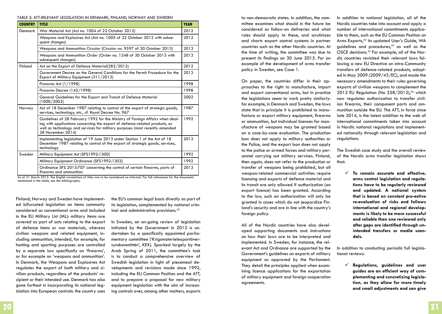#### Table 2: ATT-relevant legislation in Denmark, Finland, Norway and Sweden

| <b>COUNTRY</b> | <b>TITLE</b>                                                                                                                                                                                                                                                      | <b>YEAR</b> |  |  |
|----------------|-------------------------------------------------------------------------------------------------------------------------------------------------------------------------------------------------------------------------------------------------------------------|-------------|--|--|
| Denmark        | War Material Act (Act no. 1004 of 22 October 2012)                                                                                                                                                                                                                |             |  |  |
|                | Weapons and Explosives Act (Act no. 1005 of 22 October 2012 with subse-<br>quent changes)                                                                                                                                                                         |             |  |  |
|                | Weapons and Ammunition Circular (Circular no. 9597 of 30 October 2013)                                                                                                                                                                                            |             |  |  |
|                | Weapons and Ammunition Order (Order no. 1248 of 30 October 2013 with<br>subsequent changes)                                                                                                                                                                       |             |  |  |
| Finland        | Act on the Export of Defence Material(282/2012)                                                                                                                                                                                                                   |             |  |  |
|                | Government Decree on the General Conditions for the Permit Procedure for the<br>Export of Military Equipment (311/2013)                                                                                                                                           |             |  |  |
|                | Firearms Act $(1/1998)$                                                                                                                                                                                                                                           | 1998        |  |  |
|                | Firearms Decree (145/1998)                                                                                                                                                                                                                                        |             |  |  |
|                | General Guidelines for the Export and Transit of Defence Material<br>(1000/2002)                                                                                                                                                                                  | 2002        |  |  |
| Norway         | Act of 18 December 1987 relating to control of the export of strategic goods,<br>services, technology, etc., cf. Royal Decree No. 967                                                                                                                             |             |  |  |
|                | Guidelines of 28 February 1992 for the Ministry of Foreign Affairs when deal-<br>ing with applications concerning the export of defence-related products, as<br>well as technology and services for military purposes (most recently amended<br>28 November 2014) |             |  |  |
|                | Implementing legislation of 19 June 2013 under Section 1 of the Act of 18<br>December 1987 relating to control of the export of strategic goods, services,<br>technology                                                                                          | 2013        |  |  |
| Sweden         | Military Equipment Act (SFS1992:1300)                                                                                                                                                                                                                             | 1992        |  |  |
|                | Military Equipment Ordinance (SFS1992:1303)                                                                                                                                                                                                                       | 1992        |  |  |
|                | Ordinance SFS 2013:707 concerning the control of certain firearms, parts of<br>firearms and ammunition                                                                                                                                                            | 2013        |  |  |

As of 31 March 2015. The English translations of titles are to be considered as informal. For full references for the documents mentioned in the table, see the bibliography.

Finland, Norway and Sweden have implemented bifurcated legislation on items commonly considered as conventional arms and included in the EU Military List (ML): military items are covered as part of acts relating to the export of defence items or war materials, whereas civilian weapons and related equipment, including ammunition, intended, for example, for hunting and sporting purposes are controlled by a separate law specifically on 'firearms', or for example on 'weapons and ammunition'. In Denmark, the Weapons and Explosives Act regulates the export of both military and civilian products, regardless of the products' recipient or their intended use. Denmark has also gone furthest in incorporating its national legislation into European controls: the country uses the EU's common legal basis directly as part of its legislation, complemented by national criminal and administrative provisions.42

In Sweden, an on-going review of legislation initiated by the Government in 2012 is undertaken by a specifically appointed parliamentary committee ('Krigsmaterielexportöversynskommittén', KEX). Sparked largely by the Arab Spring of 2011, the committee's task is to conduct a comprehensive overview of Swedish legislation in light of piecemeal developments and revisions made since 1992, including the EU Common Position and the ATT, and to prepare a proposal for new military equipment legislation with the aim of increasing controls over, among other matters, exports

to non-democratic states. In addition, the committee examines what should in the future be considered as follow-on deliveries and what rules should apply to these, and scrutinizes and charts export control systems in partner countries such as the other Nordic countries. At the time of writing, the committee was due to present its findings on 30 June 2015. For an example of the development of arms transfer policy in Sweden, see Case 1.

On paper, the countries differ in their approaches to the right to manufacture, import and export conventional arms, but in practice the legislations seem to work pretty similarly: for example, in Denmark and Sweden, the laws state that in principle it is prohibited to manufacture or export military equipment, firearms or ammunition, but individual licences for manufacture of weapons may be granted based on a case-by-case evaluation. The production ban does not apply to military authorities or the Police, and the export ban does not apply to the police or armed forces and military personnel carrying out military services. Finland, then again, does not refer to the production or transfer of weapons being prohibited, but all weapon-related commercial activities require licensing and exports of defence material and its transit are only allowed if authorization (an export licence) has been granted. According to the law, such an authorization will only be granted in cases which do not jeopardize Finland's security and are in line with the country's foreign policy.

All of the Nordic countries have also developed supporting documents and instructions on how their laws are to be interpreted and implemented. In Sweden, for instance, the relevant Act and Ordnance are supported by the Government's guidelines on exports of military equipment as approved by the Parliament. They detail the principles applied when examining licence applications for the exportation of military equipment and foreign cooperation agreements.

In addition to national legislation, all of the Nordic countries take into account and apply a number of international commitments applicable to them, such as the EU Common Position on Arms Exports,<sup>43</sup> its updated User's Guide, WA guidelines and procedures, $44$  as well as the OSCE decisions.45 For example, all of the Nordic countries revisited their relevant laws following a new EU Directive on intra-Community transfers of defence-related products, adopted in May 2009 (2009/43/EC), and made the necessary amendments to their rules governing exports of civilian weapons to complement the 2012 EU Regulation (No 258/2012),<sup>46</sup> which now regulates authorization to transfer civilian firearms, their component parts and ammunition outside the EU. The ATT, in force since late 2014, is the latest addition to the web of international commitments taken into account in Nordic national regulations and implemented nationally through relevant legislation and regulations.

The Swedish case study and the overall review of the Nordic arms transfer legislation shows that:

 **To remain accurate and effective, arms control legislation and regulations have to be regularly reviewed and updated. A national system that is based on constant pro-active re-evaluation of risks and follows international and regional developments is likely to be more successful and reliable than one reviewed only after gaps are identified through unintended transfers or media scandals.** 

In addition to conducting periodic full legislational reviews:

 **Regulations, guidelines and user guides are an efficient way of complementing and concretizing legislation, as they allow for more timely and small adjustments and can give**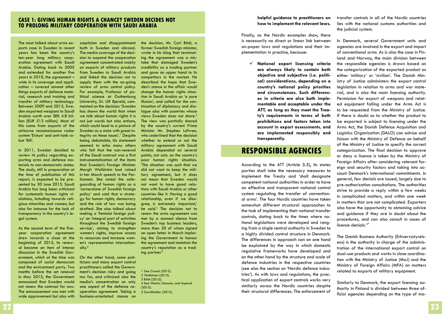### **Case 1: Giving human rights a chance? Sweden decides not to prolong military cooperation with Saudi Arabia**

The most talked about arms exports case in Sweden in recent years has been the country's ten-year long military cooperation agreement with Saudi Arabia. Dating back to 2005 and extended for another five years in 2010, the agreement – wide in its coverage and application – covered amonst other things exports of defence material, research and training and transfer of military technology. Between 2009 and 2013, Sweden exported weapons to Saudi Arabia worth over SEK 4.8 billion (EUR 513 million). Most of this came from exports of the airborne reconnaissance radar system 'Erieye' and anti-tank robot 'Bill'.

In 2011, Sweden decided to review its policy regarding exporting arms and defence materials to non-democratic states. The study, still in preparation at the time of publication of this report, is expected to be presented by 30 June 2015. Saudi Arabia has long been criticized for systematic human rights violations, including towards religious minorities and women, but also for instance for the lack of transparency in the country's legal system.

As the second term of the fiveyear cooperation agreement drew towards a close at the beginning of 2015, its renewal became an item of intense discussion in the Swedish Government, which at the time was composed of social democrats and the environment party. Two months before the set renewal in May 2015, the Government announced that Sweden would not renew the contract for now. The announcement was met with wide approvement but also with

scepticism and disappointment both in Sweden and abroad. The media coverage of the decision to suspend the cooperation agreement concentrated mainly on exports of military products from Sweden to Saudi Arabia and linked the decision not to supply them with the on-going review of arms control policy. For example, Professor of political science at Gothenburg University, Dr. Ulf Bjereld, commented on the decision: 'Sweden has shown the world that when we talk about human rights it is not just words but also actions, which could lead to a picture of Sweden as a state with great integrity on these issues'.<sup>1</sup> Despite being debatable, his statement seemed to echo many others who felt that the non-renewal of the Saudi contract was a first instrumentalization of the items that Sweden's Foreign Minister Margit Wallström had raised in her March speech to the Parliament. She noted the safeguarding of human rights as a 'cornerstone of Swedish foreign policy' and said that a strategy for human rights, democracy and the rule of law was being drafted. She also talked about making a 'feminist foreign policy' an 'integral part of activities throughout the Swedish foreign service', aiming to strengthen women's rights, improve access to resources and increase women's representation internationally.2

On the other hand, some politicians and many export control practitioners called the Government's decision risky and going too far, and criticized also the media's concentration on only one aspect of the defence cooperation agreement. Taking a business-orientated stance on

the decision, Mr. Carl Bildt, a former Swedish foreign minister, wrote in his blog that terminating the agreement was a mistake that damaged Sweden's credibility as a trading partner and gave an upper hand to its competitors in the market. He described the hope that Sweden's stance in the affair would change the human rights situation in Saudi Arabia as 'a pure illusion', and called for the continuation of diplomacy and dialogue also with countries whose views Sweden does not share.<sup>3</sup> The view was partially shared by the country's current Prime Minister Mr. Stephen Löfvren, who underlined that the decision whether to extend or not the military agreement with Saudi Arabia depended on several points, not only on the country's poor human rights situation. 'The situation was such that we did not want to keep the military agreement, but it does not mean that Sweden would not want to have good relations with Saudi Arabia or other countries like it. Having a good relationship, even if we disagree, is extremely important,' he said.4 The decision not to renew the arms agreement was met by a stunned silence from Sweden's top business leaders, more than 30 of whom signed an open letter in March imploring the Government to honour the agreement and maintain the country's reputation as a trading partner. $5$ 

1 See Crouch (2015). 2 Wallström (2015). 3 Bildt (2015}. 4 See Westin, Hansson, and Asplund (2015). 5 Gerdfeldter (2015).

### **helpful guidance to practitioners on how to implement the relevant laws.**

Finally, as the Nordic examples show, there is necessarily no direct or linear link between on-paper laws and regulations and their implementation in practice, because:

 **National export licensing criteria are always likely to contain both objective and subjective (i.e. political) considerations, depending on a country's national policy priorities and circumstances. Such differences in criteria are also both implementable and acceptable under the ATT, as long as they meet the Treaty's requirements in terms of both prohibitions and factors taken into account in export assessments, and are implemented responsibly and transparently.** 

## **Responsible agencies**

According to the ATT (Article 5.5), its states parties shall take the necessary measures to implement the Treaty and 'shall designate competent national authorities in order to have an effective and transparent national control system regulating the transfer of conventional arms'. The four Nordic countries have taken somewhat different structural approaches to the task of implementing their national transfer controls, dating back to the times where national legislations were developed and ranging from a single central authority in Sweden to a highly divided control structure in Denmark. The differences in approach can on one hand be explained by the way in which domestic regulative frameworks have developed and on the other hand by the structure and scale of defence industries in the respective countries (see also the section on 'Nordic defence industries'). As with laws and regulations, the practical application of export controls works very similarly across the Nordic countries despite their structural differences. The enforcement of

transfer controls in all of the Nordic countries lies with the national customs authorities and the judicial system.

In Denmark, several Government units and agencies are involved in the export and import of conventional arms. As is also the case in Finland and Norway, the main division between the responsible agencies is drawn based on the categorization of the exported product as either 'military' or 'civilian'. The Danish Ministry of Justice administers the export control legislation in relation to arms and war material, and is also the main licensing authority. Permission for export of weapons and related equipment falling under the Arms Act is to be requested from the Ministry of Justice. If there is doubt as to whether the product to be exported is subject to licensing under the Arms Act, the Danish Defence Acquisition and Logistics Organization (DALO) can advise and liaison with the Ministry of Defence on behalf of the Ministry of Justice to specify the correct categorization. The final decision to approve or deny a licence is taken by the Ministry of Foreign Affairs after considering relevant foreign and security factors and taking into account Denmark's international commitments. In general, few denials are issued, largely due to pre-authorization consultations. The authorities strive to provide a reply within a few weeks in complicated matters, and within one week in matters that are not complicated. Exporters also have the opportunity to obtaining advice and guidance if they are in doubt about the procedures, and can also consult in cases of licence denials.<sup>47</sup>

The Danish Business Authority (Erhvervsstyrelsens) is the authority in charge of the administration of the international export control on dual-use products and works in close coordination with the Ministry of Justice (MoJ) and the Ministry of Foreign Affairs (MFA) on matters related to exports of military equipment.

Similarly to Denmark, the export licensing authority in Finland is divided between three official agencies depending on the type of ma-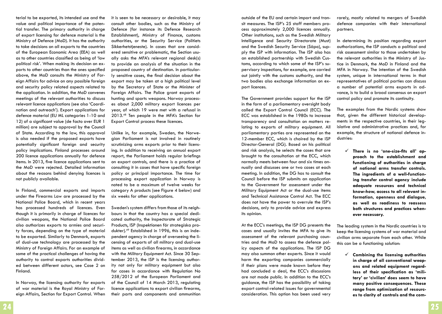terial to be exported, its intended use and the value and political importance of the potential transfer. The primary authority in charge of export licensing for defence material is the Ministry of Defence (MoD). It has the authority to take decisions on all exports to the countries of the European Economic Area (EEA) as well as to other countries classified as being of 'low political risk'. When making its decision on exports to other countries than the ones specified above, the MoD consults the Ministry of Foreign Affairs for advice on any possible foreign and security policy related aspects related to the application. In addition, the MoD convenes meetings of the relevant authorities to discuss relevant licence applications (see also 'Coordination and outreach'). Export applications for defence material (EU ML categories 1-10 and 12) of a significant value (de facto over EUR 1 million) are subject to approval by the Council of State. According to the law, this approval is also needed if the proposed exports have potentially significant foreign and security policy implications. Finland processes around 200 licence applications annually for defence items. In 2013, five licence applications sent to the MoD were rejected. Detailed information about the reasons behind denying licences is not publicly available.

In Finland, commercial exports and imports under the Firearms Law are processed by the National Police Board, which in recent years has processed hundreds of licences. Even though it is primarily in charge of licences for civilian weapons, the National Police Board also authorizes exports to armies and security forces, depending on the type of material to be exported. Similarly to Denmark, exports of dual-use technology are processed by the Ministry of Foreign Affairs. For an example of some of the practical challenges of having the authority to control exports authorities divided between different actors, see Case 2 on Finland.

In Norway, the licensing authority for exports of war material is the Royal Ministry of Foreign Affairs, Section for Export Control. When it is seen to be necessary or desirable, it may consult other bodies, such as the Ministry of Defence (for instance its Defence Research Establishment), Ministry of Finance, customs authorities, or the Security Service (Politiets Sikkerhetstjeneste). In cases that are considered sensitive or problematic, the Section usually asks the MFA's relevant regional desk(s) to provide an analysis of the situation in the proposed country of destination. In particularly sensitive cases, the final decision about the export may be taken at a high political level by the Secretary of State or the Minister of Foreign Affairs. The Police grant exports of hunting and sports weapons. Norway processes about 2,000 military export licences per year, of which 19 were met with a refusal in 2013.48 Ten people in the MFA's Section for Export Control process these licences.

Unlike in, for example, Sweden, the Norwegian Parliament is not involved in routinely scrutinizing arms exports prior to their licensing. In addition to receiving an annual export report, the Parliament holds regular briefings on export controls, and there is a practice of consulting it in cases that have specific foreign policy or principal importance. The time for processing export application in Norway is noted to be a maximum of twelve weeks for category A products (see Figure 4 below) and six weeks for other applications.

Sweden's system differs from those of its neighbours in that the country has a special dedicated authority, the Inspectorate of Strategic Products, ISP (Inspektionen för strategiska produkter).49 Established in 1996, this is an independent agency in charge of overseeing the licensing of exports of all military and dual-use items as well as civilian firearms, in accordance with the Military Equipment Act. Since 30 September 2013, the ISP is the licensing authority not only for military equipment but also for cases in accordance with Regulation No 258/2012 of the European Parliament and of the Council of 14 March 2013, regulating licence applications to export civilian firearms, their parts and components and ammunition

outside of the EU and certain import and transit measures. The ISP's 25 staff members process approximately 2,000 licences annually. Other institutions, such as the Swedish Military Intelligence and Security Directorate (Must) and the Swedish Security Service (Säpo), supply the ISP with information. The ISP also has an established partnership with Swedish Customs, according to which some of the ISP's supervisory inspections, for example, are carried out jointly with the customs authority, and the two bodies also exchange information on export licences.

The Government provides support for the ISP in the form of a parliamentary oversight body called the Export Control Council (ECC). The ECC was established in the 1980s to increase transparency and consultation on matters relating to exports of military equipment. All parliamentary parties are represented on the 12-member ECC, which is chaired by the ISP Director-General (DG). Based on his political and risk analysis, he selects the cases that are brought to the consultation at the ECC, which normally meets between four and six times annually and discusses one or two cases at each meeting. In addition, the DG has to consult the Council before the ISP submits an application to the Government for assessment under the Military Equipment Act or the dual-use items and Technical Assistance Control Act. The ECC does not have the power to overrule the ISP's decisions, only to provide advice and express its opinion.

At the ECC's meetings, the ISP DG presents the cases and usually invites the MFA to give its assessment of the relevant purchasing countries and the MoD to assess the defence policy aspects of the applications. The ISP DG may also summon other experts. Since it would harm the exporting companies commercially if their plans were made known before they had concluded a deal, the ECC's discussions are not made public. In addition to the ECC's guidance, the ISP has the possibility of taking export control-related issues for governmental consideration. This option has been used very

rarely, mostly related to mergers of Swedish defence companies with their international partners.

In determining its position regarding export authorizations, the ISP conducts a political and risk assessment similar to those undertaken by the relevant authorities in the Ministry of Justice in Denmark, the MoD in Finland and the MFA in Norway. The intention of the Swedish system, unique in international terms in that representatives of political parties can discuss a number of potential arms exports in advance, is to build a broad consensus on export control policy and promote its continuity.

The examples from the Nordic systems show that, given the different historical developments in the respective countries, in their legislative and administrative practices and, for example, the structure of national defence industries:

 **There is no 'one-size-fits all' approach to the establishment and functioning of authorities in charge of national arms transfer controls. The ingredients of a well-functioning transfer control agency include adequate resources and technical know-how, access to all relevant information, openness and dialogue, as well as readiness to reassess both structures and practices whenever necessary.**

The leading system in the Nordic countries is to keep the licensing systems of war material and civilian arms separate from each other. While this can be a functioning solution:

 **Combining the licensing authorities in charge of all conventional weapons and related equipment regardless of their specification as 'military' or 'civilian' does seem to have many positive consequences. These range from optimization of resources to clarity of controls and the com-**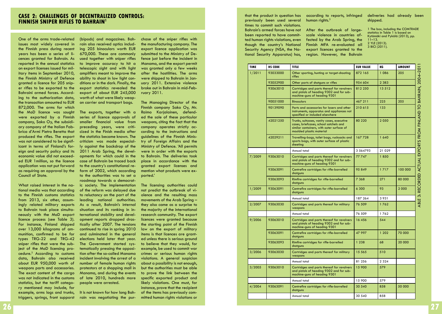One of the arms trade-related issues most widely covered in the Finnish press during recent years has been a series of licences granted for Bahrain. As reported in the annual statistics on export licenses issued for military items in September 2010, the Finnish Ministry of Defence granted a licence for 205 sniper rifles to be exported to the Bahraini armed forces. According to the authorization data, the transaction amounted to EUR 872,000. The arms for which the MoD licence was sought were exported by a Finnish company, Sako Oy, the subsidiary company of the Italian Fabbrica d'Armi Pietro Beretta that produced the rifles. The export was not considered to be significant in terms of Finland's foreign and security policy and its economic value did not exceeded EUR 1million, so the licence application was not put forward as requiring an approval by the Council of State.

What raised interest in the national media was that according to the Finnish customs statistics from 2013, six other, assumingly related military exports to Bahrain took place simultaneously with the MoD export licence process (see Table 3). For instance, Finland shipped over 13,000 kilograms of ammunition, confirmed to be for types TRG-22 and TRG-42 sniper rifles that were the subject of the MoD licensing procedure.<sup>2</sup> According to customs data, Bahrain also received about EUR 950,000 worth of weapons parts and accessories. The exact content of the cargo was not indicated in the customs statistics, but the tariff category mentioned may include, for example, arms logs and trunks, triggers, springs, front supporst

(bipods) and magazines. Bahrain also received optics including 205 binoculars worth EUR 670,000. These are commonly used together with sniper rifles to improve accuracy to hit a telescopic sight and with light amplifiers meant to improve the ability to shoot in low light conditions or in the dark. Finally, the export statistics revealed the export of about EUR 245,000 worth of what were likely weapon carrier and transport bags.

The exports, together with a series of licence approvals of smaller financial value from preceding years, were criticized in the Finish media after the statistics became known. The criticism was made especially against the backdrop of the 2011 Arab Spring, the developments for which could in the case of Bahrain be traced back to the country's constitutional reform of 2002, which according to the authorities was to set a roadmap towards a democratic society. The implementation of the reform was delayed due to reluctancy on the part of the leading national authorities. As a result, Bahrain's internal situation and its ranking in international stability and development reports dropped drastically after 2007. The tensions continued to rise in spring 2010 and culminated in the general elections held later that year. The Government started systematically pressing the opposition after the so-called Manama incident involving the arrest of a number of female human rights protestors at a shopping mall in Manama, and during the events of late 2010, hundreds more people were arrested.

It is not known for how long Bahrain was negotiating the pur-

chase of the sniper rifles with the manufacturing company. The export licence application was submitted to the Ministry of Defence just before the incident in Manama, and the export permit was granted only a few weeks after the hostilities. The arms were shipped to Bahrain in January 2011. Extensive violence broke out in Bahrain in mid-February 2011.

The Managing Director of the Finnish company Sako Oy, Mr. Raimo Karjalainen, defended the sale of these particular weapons, citing the fact that the company operates strictly according to the instructions and guidelines of the Finnish Ministry of Foreign Affairs and the Ministry of Defence. 'All permits were in order with the exports to Bahrain. The deliveries took place in accordance with the granted export licenses and mention what products were exported.'

The licensing authorities could not predict the outbreak of violence and the resulting mass movements of the Arab Spring – they also came as a surprise to the majority of the international research community. The export licences were granted because the starting point of the Finnish law on the export of military items is that licences are granted unless there is serious ground to believe that they would, for example, be used to commit war crimes or serious human rights violations. A general suspicion about a possibility is not enough, but the authorities must be able to prove the link between the specific exported product and likely violations. One must, for instance, prove that the recipient of the items has previously committed human rights violations or that the product in question has previously been used several times to commit such violations. Bahrain's armed forces have not been reported to have committed human rights violations, even though the country's National Security Agency (NSA, the National Security Apparatus) has,

according to reports, infringed human rights. $^3$ 

After the outbreak of largescale violence in countries affected by the Arab Spring, the Finnish MFA re-evaluated all export licences granted to the region. However, the Bahrain deliveries had already been shipped.

1 The box, including the COMTRADE statistics in Table 1 is based on Kytömäki and Pykälä (2013), pp. 11–13. 2 YLE (2013). 3 BICI (2011).

| <b>TIME</b> | <b>HS CODE</b> | <b>TITLE</b>                                                                                                                                                  | <b>EUR VALUE</b> | KG      | <b>AMOUNT</b> |
|-------------|----------------|---------------------------------------------------------------------------------------------------------------------------------------------------------------|------------------|---------|---------------|
| 1/2011      | 93033000       | Other sporting, hunting or target-shooting<br>rifles                                                                                                          | 872 165          | 1 086   | 205           |
|             | 93052900       | Other parts of shotguns or rifles                                                                                                                             | 954 604          | 2 3 8 3 |               |
|             | 93063010       | Cartridges and parts thereof for revolvers<br>and pistols of heading 9302 and for sub-<br>machine-guns of heading 9301                                        | 812 250          | 13512   |               |
|             | 90051000       | <b>Binoculars</b>                                                                                                                                             | 467 211          | 225     | 205           |
|             | 90139090       | Parts and accessories for lasers and other<br>instruments, apparatus and appliances not<br>specified or included elsewhere                                    | 210 615          | 133     |               |
|             | 42021250       | Trunks, suitcases, vanity cases, executive<br>cases, briefcases, school satchels and<br>similar containers, with outer surface of<br>moulded plastic material | 80 220           | 2050    |               |
|             | 42029211       | Travelling-bags, toilet bags, rucksacks and<br>sports bags, with outer surface of plastic<br>sheeting                                                         | 167728           | 1 640   |               |
|             |                | Annual total                                                                                                                                                  | 3 564793         | 21 0 29 |               |
| 7/2009      | 93063010       | Cartridges and parts thereof for revolvers<br>and pistols of heading 9302 and for sub-<br>machine-guns of heading 9301                                        | 77 747           | 1850    |               |
|             | 93063091       | Centrefire cartridges for rifle-barrelled<br>shotguns                                                                                                         | 95849            | 1717    | 100 000       |
|             | 93063093       | Rimfire cartridges for rifle-barrelled<br>shotguns                                                                                                            | 7 368            | 271     | 80 000        |
| 1/2009      | 93063091       | Centrefire cartridges for rifle-barrelled<br>shotguns                                                                                                         | 6 300            | 93      | 2 0 0 0       |
|             |                | Annual total                                                                                                                                                  | 187 264          | 3 9 3 1 |               |
| 2/2007      | 93063030       | Cartridges and parts thereof for military<br>weapons                                                                                                          | 76 509           | 1762    |               |
|             |                | Annual total                                                                                                                                                  | 76 509           | 1762    |               |
| 9/2006      | 93063010       | Cartridges and parts thereof for revolvers<br>and pistols of heading 9302 and for sub-<br>machine-guns of heading 9301                                        | 16 456           | 544     |               |
|             | 93063091       | Centrefire cartridges for rifle-barrelled<br>shotguns                                                                                                         | 47 997           | 1 202   | 70 000        |
|             | 93063093       | Rimfire cartridges for rifle-barrelled<br>shotguns                                                                                                            | 1 2 3 8          | 68      | 20 000        |
| 3/2006      | 93063030       | Cartridges and parts thereof for military<br>weapons                                                                                                          | 15 565           | 510     |               |
|             |                | Annual total                                                                                                                                                  | 81 256           | 2 3 2 4 |               |
| 3/2005      | 93063010       | Cartridges and parts thereof for revolvers<br>and pistols of heading 9302 and for sub-<br>machine-guns of heading 9301                                        | 15 900           | 579     |               |
|             |                | Annual total                                                                                                                                                  | 15 900           | 579     |               |
| 4/2004      | 93063091       | Centrefire cartridges for rifle-barrelled<br>shotguns                                                                                                         | 30 540           | 858     | 50 000        |
|             |                | Annual total                                                                                                                                                  | 30 540           | 858     |               |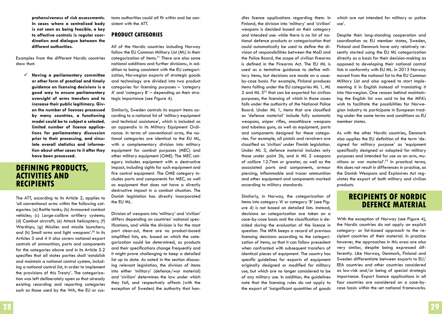**prehensiveness of risk assessments. In cases where a centralized body is not seen as being feasible, a key to effective controls is regular coordination and dialogue between the different authorities.**

Examples from the different Nordic countries show that:

 **Having a parliamentary committee or other form of practical and timely guidance on licensing decisions is a good way to ensure parliamentary oversight of arms transfers and to increase their public legitimacy. Given the number of licences processed by many countries, a functioning model could be to subject a selected, limited number of licence applications for parliamentary discussion prior to their processing, and circulate overall statistics and information about other cases to it after they have been processed.**

## **Defining products, activities and recipients**

The ATT, according to its Article 2, applies to 'all conventional arms within the following categories: (a) Battle tanks; (b) Armoured combat vehicles; (c) Large-calibre artillery systems; (d) Combat aircraft; (e) Attack helicopters; (f) Warships; (g) Missiles and missile launchers; and (h) Small arms and light weapons'.50 In its Articles 3 and 4 it also covers national export controls of ammunition, parts and components for the categories above and in its Article 5.2 specifies that all states parties shall 'establish and maintain a national control system, including a national control list, in order to implement the provisions of this Treaty'. The categorization was left deliberately open so that already existing recording and reporting categories such as those used by the WA, the EU or customs authorities could all fit within and be consistent with the ATT.

## **Product categories**

All of the Nordic countries including Norway follow the EU Common Military List (ML) in their categorization of items. $51$  There are also some national additions and further divisions:, in addition to being consistent with the EU categorization, Norwegian exports of strategic goods and technology are divided into two product categories for licensing purposes – 'category A' and 'category B' – depending on their strategic importance (see Figure 4).

Similarly, Sweden controls its export items according to a national list of 'military equipment and technical assistance', which is included as an appendix in its Military Equipment Ordinance. In terms of conventional arms, the national categories are identical to the EU ML, with a complementary division into military equipment for combat purposes (MEC) and other military equipment (OME). The MEC category includes equipment with a destructive impact, including sights for such equipment and fire control equipment. The OME category includes parts and components for MEC, as well as equipment that does not have a directly destructive impact in a combat situation. The Danish legislation has directly incorporated the EU ML.

Division of weapons into 'military' and 'civilian' differs depending on countries' national specifications, and while the division is for the most part clear-cut, there are no product-based simplified lists, etc. based on which the categorization could be determined, as products and their specifications change frequently and it might prove challenging to keep a detailed list up to date. As noted in the section discussing relevant legislation, the division of items into either 'military' (defence/war material) and 'civilian' determines the law under which they fall, and respectively affects (with the exception of Sweden) the authority that han-

dles licence applications regarding them. In Finland, the division into 'military' and 'civilian' weapons is decided based on their category and intended use: while there is no list of national defence products or categorization that could automatically be used to define the division of responsibilities between the MoD and the Police Board, the scope of civilian firearms is defined in the Firearms Act. The EU ML is used as a tentative guidance to define military items, but decisions are made on a caseby-case basis. For example, Finland produces items falling under the EU categories ML 1, ML 2 and ML  $3^{52}$  that can be exported for civilian purposes, the licensing of which in those cases falls under the authority of the National Police Board. Under ML 1, items that are classified as 'defence material' include fully automatic weapons, sniper rifles, smoothbore weapons and tubeless guns, as well as equipment, parts and components designed for these categories. For example, all pistols and revolvers are classified as 'civilian' under Finnish legislation. Under ML 3, defence material includes only those under point 3b, and in ML 2 weapons of calibre 12.7mm or greater, as well as the associated parts and components, armour piercing, inflammable and tracer ammunition and other equipment and components marked according to military standards.

Similarly, in Norway, the categorization of items into category 'A' or category 'B' (see Figure 4) is not based on detailed lists. Instead, decisions on categorization are taken on a case-by-case basis and the classification is decided during the evaluation of the licence in question. The MFA keeps a record of previous licensing decisions according to the categorization of items, so that it can follow precedent when confronted with subsequent transfers of identical pieces of equipment. The country has specific guidelines for exports of equipment originally designed or modified for military use, but which are no longer considered to be of any military use. In addition, the guidelines note that the licensing rules do not apply to the export of 'insignificant quantities of goods which are not intended for military or police use'.

Despite their long-standing cooperation and coordination as EU member states, Sweden, Finland and Denmark have only relatively recently started using the EU ML categorization directly as a basis for their decision-making as opposed to developing their national control lists in conformity with EU ML. In 2013 Norway moved from the national list to the EU Common Military List and also agreed to start implementing it in English instead of translating it into Norwegian. One reason behind maintaining the English list was said to be the MFA's wish to facilitate the possibilities for Norwegian industry to participate in European trading under the same terms and conditions as EU member states.

As with the other Nordic countries, Denmark also applies the EU definition of the term 'designed for military purpose' as 'equipment specifically designed or adapted for military purposes and intended for use as an arm, munitions or war material'.53 In practical terms, this does not result in differences in practice, as the Danish Weapons and Explosives Act regulates the export of both military and civilian products.

## **Recipients of Nordic defence material**

With the exception of Norway (see Figure 4), the Nordic countries do not apply an explicit category- or list-based approach to the recipient countries of their material. In practice however, the approaches in this area are also very similar, despite being expressed differently. Like Norway, Denmark, Finland and Sweden differentiate between exports to EU/ EEA countries and other countries considered as low-risk and/or being of special strategic importance. Export licence applications in all four countries are considered on a case-bycase basis within the set national frameworks.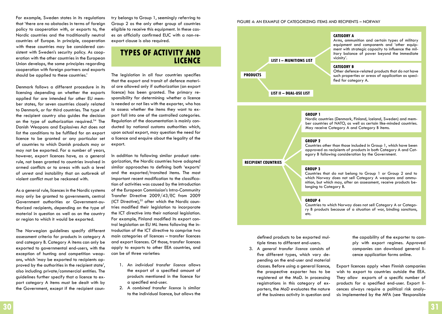For example, Sweden states in its regulations that 'there are no obstacles in terms of foreign policy to cooperation with, or exports to, the Nordic countries and the traditionally neutral countries of Europe. In principle, cooperation with these countries may be considered consistent with Sweden's security policy. As cooperation with the other countries in the European Union develops, the same principles regarding cooperation with foreign partners and exports should be applied to these countries.'

Denmark follows a different procedure in its licensing depending on whether the exports applied for are intended for other EU member states, for seven countries closely related to Denmark, or for third countries. The type of the recipient country also guides the decision on the type of authorization required.54 The Danish Weapons and Explosives Act does not list the conditions to be fulfilled for an export licence to be granted or any particular set of countries to which Danish products may or may not be exported. For a number of years, however, export licences have, as a general rule, not been granted to countries involved in armed conflicts or to areas with such a level of unrest and instability that an outbreak of violent conflict must be reckoned with.

As a general rule, licences in the Nordic systems may only be granted to governments, central Government authorities or Government-authorized recipients, depending on the type of material in question as well as on the country or region to which it would be exported.

The Norwegian guidelines specify different assessment criteria for products in category A and category B. Category A items can only be exported to governmental end-users, with the exception of hunting and competition weapons, which 'may be exported to recipients approved by the authorities in the recipient state', also including private/commercial entities. The guidelines further specify that a licence to export category A items must be dealt with by the Government, except if the recipient country belongs to Group 1, seemingly referring to Group 2 as the only other group of countries eligible to receive this equipment. In these cases an officially confirmed EUC with a non-reexport clause is also required.

## **Types of activity and licence**

The legislation in all four countries specifies that the export and transit of defence material are allowed only if authorization (an export licence) has been granted. The primary responsibility for determining whether a licence is needed or not lies with the exporter, who has to assess whether the items they want to export fall into one of the controlled categories. Regulation of the documentation is mainly conducted by national customs authorities which, upon actual export, may question the need for a licence and enquire about the legality of the export.

In addition to following similar product categorization, the Nordic countries have adopted similar approaches to defining both 'exports' and the exported/transited items. The most important recent modification to the classification of activities was caused by the introduction of the European Commission's Intra-Community Transfer Directive 2009/43/EC from 2009 (ICT Directive),<sup>55</sup> after which the Nordic countries modified their legislation to incorporate the ICT directive into their national legislation. For example, Finland modified its export control legislation on EU ML items following the introduction of the ICT directive to comprise two main categories of licences – transfer licences and export licences. Of those, transfer licences apply to exports to other EEA countries, and can be of three varieties:

- 1. An *individual transfer licence* allows the export of a specified amount of products mentioned in the licence for a specified end-user.
- 2. A *combined transfer licence* is similar to the individual licence, but allows the





#### **Group 1**

Nordic countries (Denmark, Finland, Iceland, Sweden) and member countries of NATO, as well as certain like-minded countries. May receive Category A and Category B items.

#### **Group 2**

Countries other than those included in Group 1, which have been approved as recipients of products in both Category A and Cat- egory B following consideration by the Government.

**Recipient countries**

#### **Group 3**

Countries that do not belong to Group 1 or Group 2 and to which Norway does not sell Category A weapons and ammunition, but which may, after an assessment, receive products belonging to Category B.

#### **Group 4**

Countries to which Norway does not sell Category A or Category B products because of a situation of war, binding sanctions, etc.

defined products to be exported multiple times to different end-users.

3. A *general transfer licence* consists of five different types, which vary depending on the end-user and material classes. Before using a general licence, the prospective exporter has to be registered at the MoD. In processing registrations in this category of exporters, the MoD evaluates the nature of the business activity in question and

the capability of the exporter to comply with export regimes. Approved companies can download general licence application forms online.

Export licences apply when Finnish companies wish to export to countries outside the EEA. They allow exports of a specific number of products for a specified end-user. Export licences always require a political risk analysis implemented by the MFA (see 'Responsible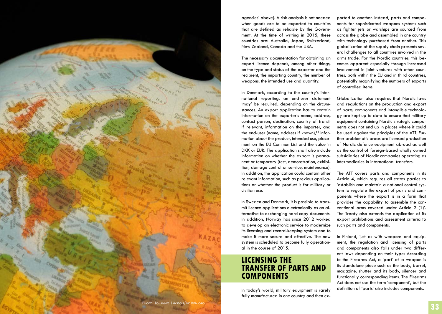

agencies' above). A risk analysis is not needed when goods are to be exported to countries that are defined as reliable by the Govern ment. At the time of writing in 2015, these countries are: Australia, Japan, Switzerland, New Zealand, Canada and the USA.

The necessary documentation for obtaining an export licence depends, among other things, on the type and status of the exporter and the recipient, the importing country, the number of weapons, the intended use and quantity.

In Denmark, according to the country's inter national reporting, an end-user statement 'may' be required, depending on the circum stances. An export application has to contain information on the exporter's name, address, contact person, destination, country of transit if relevant, information on the importer, and the end-user (name, address if known), $56$  information about the product, intended use, place ment on the EU Common List and the value in DKK or EUR. The application shall also include information on whether the export is perma nent or temporary (test, demonstration, exhibi tion, damage control or service, maintenance). In addition, the application could contain other relevant information, such as previous applica tions or whether the product is for military or civilian use.

In Sweden and Denmark, it is possible to trans mit licence applications electronically as an al ternative to exchanging hard copy documents. In addition, Norway has since 2012 worked to develop an electronic service to modernize its licensing and record-keeping system and to make it more secure and effective. The new system is scheduled to become fully operation al in the course of 2015.

## LICENSING THE<br>TRANSFER OF PARTS AND **comPONENTS**

In today's world, military equipment is rarely fully manufactured in one country and then ex -

ported to another. Instead, parts and compo nents for sophisticated weapons systems such as fighter jets or warships are sourced from across the globe and assembled in one country with technology purchased from another. This globalization of the supply chain presents sev eral challenges to all countries involved in the arms trade. For the Nordic countries, this be comes apparent especially through increased involvement in joint ventures with other coun tries, both within the EU and in third countries, potentially magnifying the numbers of exports of controlled items.

Globalization also requires that Nordic laws and regulations on the production and export of parts, components and intangible technolo gy are kept up to date to ensure that military equipment containing Nordic strategic compo nents does not end up in places where it could be used against the principles of the ATT. Fur ther problematic areas are licensed production of Nordic defence equipment abroad as well as the control of foreign-based wholly owned subsidiaries of Nordic companies operating as intermediaries in international transfers.

The ATT covers parts and components in its Article 4, which requires all states parties to 'establish and maintain a national control sys tem to regulate the export of parts and com ponents where the export is in a form that provides the capability to assemble the con ventional arms covered under Article 2 (1)'. The Treaty also extends the application of its export prohibitions and assessment criteria to such parts and components.

In Finland, just as with weapons and equip ment, the regulation and licensing of parts and components also falls under two differ ent laws depending on their type: According to the Firearms Act, a 'part' of a weapon is its standalone piece such as the body, barrel, magazine, shutter and its body, silencer and functionally corresponding items. The Firearms Act does not use the term 'component', but the definition of 'parts' also includes components.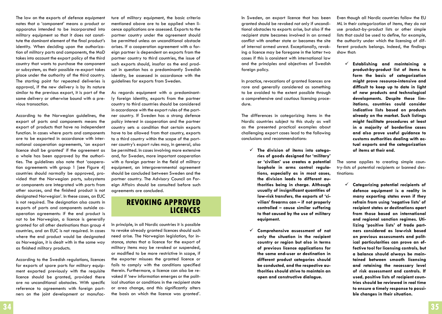The law on the exports of defence equipment notes that a 'component' means a product or apparatus intended to be incorporated into military equipment so that it does not constitute the dominant element of the final product's identity. When deciding upon the authorization of military parts and components, the MoD takes into account the export policy of the third country that wants to purchase the component or subsystem, as their possible re-export takes place under the authority of the third country. The starting point for repeated deliveries is approval, if the new delivery is by its nature similar to the previous export, it is part of the same delivery or otherwise bound with a previous transaction.

According to the Norwegian guidelines, the export of parts and components means the export of products that have no independent function. In cases where parts and components are to be exported in accordance with international cooperation agreements, 'an export licence shall be granted' if the agreement as a whole has been approved by the authorities. The guidelines also note that 'cooperation agreements with group 1 [see Figure 4] countries should normally be approved, provided that the Norwegian parts, subsystems or components are integrated with parts from other sources, and the finished product is not designated Norwegian'. In these cases, an EUC is not required. The designation also counts in exports of parts and components outside cooperation agreements: if the end product is not to be Norwegian, a licence is generally granted for all other destinations than group 4 countries, and an EUC is not required. In cases where the end product would be designated as Norwegian, it is dealt with in the same way as finished military products.

According to the Swedish regulations, licences for exports of spare parts for military equipment exported previously with the requisite licence should be granted, provided there are no unconditional obstacles. With specific reference to agreements with foreign partners on the joint development or manufacture of military equipment, the basic criteria mentioned above are to be applied when licence applications are assessed. Exports to the partner country under the agreement should be permitted unless an unconditional obstacle arises. If a cooperation agreement with a foreign partner is dependent on exports from the partner country to third countries, the issue of such exports should, insofar as the end product in question has a predominantly Swedish identity, be assessed in accordance with the guidelines for exports from Sweden.

As regards equipment with a predominantly foreign identity, exports from the partner country to third countries should be considered in accordance with the export rules of the partner country. If Sweden has a strong defence policy interest in cooperation and the partner country sets a condition that certain exports have to be allowed from that country, exports to a third country within the scope of the partner country's export rules may, in general, also be permitted. In cases involving more extensive and, for Sweden, more important cooperation with a foreign partner in the field of military equipment, an intergovernmental agreement should be concluded between Sweden and the partner country. The Advisory Council on Foreign Affairs should be consulted before such agreements are concluded.

## **Revoking approved licences**

In principle, in all Nordic countries it is possible to revoke already granted licences should such need arise. The Norwegian legislation, for instance, states that a licence for the export of military items may be revoked or suspended, or modified to be more restrictive in scope, if the exporter misuses the granted licence or fails to comply with the conditions specified therein. Furthermore, a licence can also be revoked if 'new information emerges or the political situation or conditions in the recipient state or area change, and this significantly alters the basis on which the licence was granted'.

In Sweden, an export licence that has been granted should be revoked not only if unconditional obstacles to exports arise, but also if the recipient state becomes involved in an armed conflict with another state or becomes the site of internal armed unrest. Exceptionally, revoking a licence may be foregone in the latter two cases if this is consistent with international law and the principles and objectives of Swedish foreign policy.

In practice, revocations of granted licences are rare and generally considered as something to be avoided to the extent possible through a comprehensive and cautious licensing procedure.

The differences in categorizing items in the Nordic countries subject to this study as well as the presented practical examples about challenging export cases lead to the following conclusions and recommendations:

- **The division of items into categories of goods designed for 'military' or 'civilian' use creates a potential loophole in arms control regulations, especially as in most cases, the division leads to different authorities being in charge. Although usually of insignificant quantities of low-risk transfers, the exports of 'civilian' firearms can – if not properly controlled – cause similar suffering to that caused by the use of military equipment.**
- **Comprehensive assessment of not only the situation in the recipient country or region but also in terms of previous licence applications for the same end-user or destination in different product categories should be conducted, and the respective authorities should strive to maintain an open and constructive dialogue.**

Even though all Nordic countries follow the EU ML in their categorization of items, they do not use product-by-product lists or other simple lists that could be used to define, for example, the authority under which the licensing of different products belongs. Indeed, the findings show that:

 **Establishing and maintaining a product-by-product list of items to form the basis of categorization might prove resource-intensive and difficult to keep up to date in light of new products and technological developments. Despite these limitations, countries could consider indicative lists based on products already on the market. Such listings might facilitate procedures at least in a majority of borderline cases and also prove useful guidance to customs authorities dealing with actual exports and the categorization of items at their end.** 

The same applies to creating simple country-lists of potential recipients or banned destinations:

 **Categorizing potential recipients of defence equipment is a reality in many exporting states even if they refrain from using 'negative lists' of recipient states or destinations apart from those based on international and regional sanction regimes. Utilizing 'positive lists' of trade partners considered as low-risk based on previous assessments and political particularities can prove an effective tool for licensing controls, but a balance should always be maintained between smooth licensing and retaining the necessary level of risk assessment and controls. If used, positive lists of recipient countries should be reviewed in real time to ensure a timely response to possible changes in their situation.**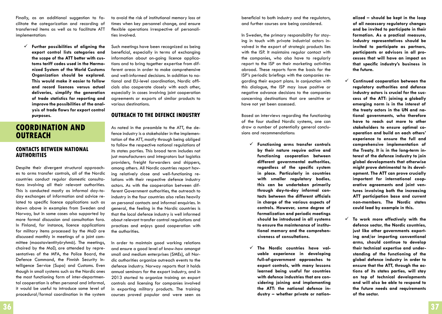Finally, as an additional suggestion to facilitate the categorization and recording of transferred items as well as to facilitate ATT implementation:

 **Further possibilities of aligning the export control lists categories and the scope of the ATT better with customs tariff codes used in the Harmonized System of the World Customs Organization should be explored. This would make it easier to follow and record licences versus actual deliveries, simplify the generation of trade statistics for reporting and improve the possibilities of the analysis of trade flows for export control purposes.**

## **Coordination and outreach**

### **Contacts between national authorities**

Despite their divergent structural approaches to arms transfer controls, all of the Nordic countries conduct regular domestic consultations involving all their relevant authorities. This is conducted mostly as informal day-today exchanges of information and advice related to specific licence applications such as shown above in examples from Sweden and Norway, but in some cases also supported by more formal discussion and consultation fora. In Finland, for instance, licence applications for military items processed by the MoD are discussed monthly in meetings of a joint committee (maastavientityöryhmä). The meetings, chaired by the MoD, are attended by representatives of the MFA, the Police Board, the Defence Command, the Finnish Security Intelligence Service (Supo) and Customs. Even though in small systems such as the Nordic ones the most functioning form of inter-departmental cooperation is often personal and informal, it would be useful to introduce some level of procedural/formal coordination in the system to avoid the risk of institutional memory loss at times when key personnel change, and ensure flexible operations irrespective of personalities involved.

Such meetings have been recognized as being beneficial, especially in terms of exchanging information about on-going licence applications and to bring together expertise from different areas in order to make comprehensive and well-informed decisions. In addition to national and EU-level coordination, Nordic officials also cooperate closely with each other, especially in cases involving joint cooperation agreements or exports of similar products to various destinations.

## **Outreach to the defence industry**

As noted in the preamble to the ATT, the defence industry is a stakeholder in the implementation of the ATT, mostly through being obliged to follow the respective national regulations of its states parties. This broad term includes not just manufacturers and integrators but logistics providers, freight forwarders and shippers, among others. All Nordic countries report having relatively close and well-functioning relations with their respective defence industry actors. As with the cooperation between different Government authorities, the outreach to industry in the four countries also relies heavily on personal contacts and informal enquiries. In general, the feeling in the Nordic countries is that the local defence industry is well informed about relevant transfer control regulations and practices and enjoys good cooperation with the authorities.

In order to maintain good working relations and ensure a good level of know-how amongst small and medium enterprises (SMEs), all Nordic authorities organize outreach events to the defence industry. Norway reports that it holds annual seminars for the export industry, and in 2013 started to organize training on export controls and licensing for companies involved in exporting military products. The training courses proved popular and were seen as

beneficial to both industry and the regulators, and further courses are being considered.

In Sweden, the primary responsibility for staying in touch with private industrial actors involved in the export of strategic products lies with the ISP. It maintains regular contact with the companies, who also have to regularly report to the ISP on their marketing activities abroad. These reports form the basis for the ISP's periodic briefings with the companies regarding their export plans. In conjunction with this dialogue, the ISP may issue positive or negative advance decisions to the companies concerning destinations that are sensitive or have not yet been assessed.

Based on interviews regarding the functioning of the four studied Nordic systems, one can draw a number of potentially general conclusions and recommendations:

- **Functioning arms transfer controls by their nature require active and functioning cooperation between different governmental authorities, regardless of the specific system in place. Particularly in countries with smaller regulatory bodies, this can be undertaken primarily through day-to-day informal contacts between the different officials in charge of the various aspects of controls. However, some degree of formalization and periodic meetings should be introduced in all systems to ensure the maintenance of institutional memory and the comprehensiveness of consultations.**
- **The Nordic countries have valuable experience in developing full-of-government approaches to export controls, with many lessons learned being useful for countries with defence industries that are considering joining and implementing the ATT: the national defence industry – whether private or nation-**

**alized – should be kept in the loop of all necessary regulatory changes and be invited to participate in their formation. As a practical measure, industry representatives should be invited to participate as partners, participants or advisors in all processes that will have an impact on that specific industry's business in the future.** 

- **Continued cooperation between the regulatory authorities and defence industry actors is crucial for the success of the ATT: joining a globally emerging norm is in the interest of the treaty actors in the UN and national governments, who therefore have to reach out more to other stakeholders to ensure optimal cooperation and build on each others' experience to ensure the full and comprehensive implementation of the Treaty. It is in the long-term interest of the defence industry to join global developments that otherwise might prove detrimental to its development. The ATT can prove crucially important for international cooperative agreements and joint ventures involving both the increasing ATT participation base and current non-members. The Nordic states could lead by example in this.**
- **To work more effectively with the defence sector, the Nordic countries, just like other governments exporting and/or importing conventional arms, should continue to develop their technical expertise and understanding of the functioning of the global defence industry in order to ensure that the ATT, through the actions of its states parties, will stay on top of technical developments and will also be able to respond to the future needs and requirements of the sector.**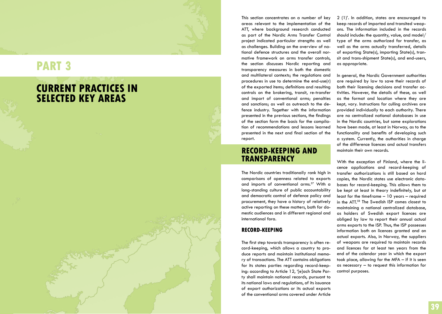# **RT 3**

### **current PRACTICES I a SELECTED KEY AREAS a**

This section concentrates on a number of key areas relevant to the implementation of the ATT, where background research conducted as part of the Nordic Arms Transfer Control project indicated particular strengths as well as challenges. Building on the overview of na tional defence structures and the overall nor mative framework on arms transfer controls, the section discusses Nordic reporting and transparency measures in both the domestic and multilateral contexts; the regulations and procedures in use to determine the end-use(r) of the exported items; definitions and resulting controls on the brokering, transit, re-transfer and import of conventional arms; penalties and sanctions; as well as outreach to the de fence industry. Together with the information presented in the previous sections, the findings of the section form the basis for the compila tion of recommendations and lessons learned presented in the next and final section of the report.

### **RECORD-KEEPING AND t ran spare ncy**

The Nordic countries traditionally rank high in comparisons of openness related to exports and imports of conventional arms.<sup>57</sup> With a long-standing culture of public accountability and democratic control of defence policy and procurement, they have a history of relatively active reporting on these matters, both for do mestic audiences and in different regional and international fora.

## **Record-keeping**

The first step towards transparency is often re cord-keeping, which allows a country to pro duce reports and maintain institutional memo ry of transactions. The ATT contains obligations for its states parties regarding record-keep ing: according to Article 12, '[e]ach State Par ty shall maintain national records, pursuant to its national laws and regulations, of its issuance of export authorizations or its actual exports of the conventional arms covered under Article 2 (1)'. In addition, states are encouraged to keep records of imported and transited weap ons. The information included in the records should include: the quantity, value, and model/ type of the arms authorized for transfer, as well as the arms actually transferred, details of exporting State(s), importing State(s), tran sit and trans-shipment State(s), and end-users, as appropriate.

In general, the Nordic Government authorities are required by law to save their records of both their licensing decisions and transfer ac tivities. However, the details of these, as well as the format and location where they are kept, vary. Instructions for culling archives are provided individually to each authority. There are no centralized national databases in use in the Nordic countries, but some explorations have been made, at least in Norway, as to the functionality and benefits of developing such a system. Currently, the authorities in charge of the difference licences and actual transfers maintain their own records.

With the exception of Finland, where the li cence applications and record-keeping of transfer authorizations is still based on hard copies, the Nordic states use electronic data bases for record-keeping. This allows them to be kept at least in theory indefinitely, but at least for the timeframe – 10 years – required in the ATT.58 The Swedish IS P comes closest to maintaining a national centralized database, as holders of Swedish export licences are obliged by law to report their annual actual arms exports to the IS P. Thus, the IS P possesses information both on licences granted and on actual exports. Also, in Norway, the suppliers of weapons are required to maintain records and licences for at least ten years from the end of the calendar year in which the export took place, allowing for the MFA – if it is seen as necessary – to request this information for control purposes.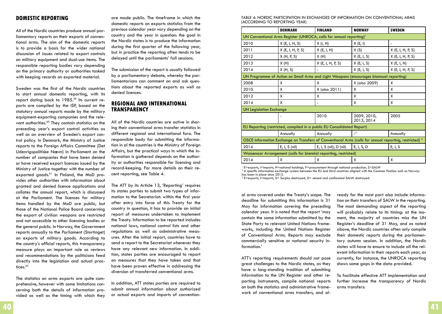## **Domestic reporting**

All of the Nordic countries produce annual parliamentary reports on their exports of conventional arms. The aim of the domestic reports is to provide a basis for the wider national discussion of issues related to export controls on military equipment and dual-use items. The responsible reporting bodies vary depending on the primary authority or authorities tasked with keeping records on exported material.

Sweden was the first of the Nordic countries to start annual domestic reporting, with its report dating back to 1985.<sup>59</sup> Its current reports are compiled by the ISP, based on the statutory annual reports made by the military equipment-exporting companies and the relevant authorities.<sup>60</sup> They contain statistics on the preceding year's export control activities as well as an overview of Sweden's export control policy. In Denmark, the Ministry of Justice reports to the Foreign Affairs Committee (Det Udenrigspolitiske Nævn) in Parliament on the number of companies that have been denied or have received export licences issued by the Ministry of Justice together with the number of exported goods.<sup>61</sup> In Finland, the MoD provides other authorities with information about granted and denied licence applications and collates the annual report, which is discussed at the Parliament. The licences for military items handled by the MoD are public, but those of the National Police Board concerning the export of civilian weapons are restricted and not accessible to other licensing bodies or the general public. In Norway, the Government reports annually to the Parliament (Stortinget) on exports of military goods. According to the country's official reports, this transparency measure plays an important role as reviews and recommendations by the politicians feed directly into the legislation and actual practices.<sup>62</sup>

The statistics on arms exports are quite comprehensive, however with some limitations concerning both the details of information provided as well as the timing with which they are made public. The timeframe in which the domestic reports on exports statistics from the previous calendar year vary depending on the country and the year in question: the goal in the Nordic states is to produce the information during the first quarter of the following year, but in practice the reporting often tends to be delayed until the parliaments' fall sessions.

The submission of the report is usually followed by a parliamentary debate, whereby the parliamentarians can comment on and ask questions about the reported exports as well as denied licences.

## **Regional and international transparency**

All of the Nordic countries are active in sharing their conventional arms transfer statistics in different regional and international fora. The responsible body for submitting the information in al the countries is the Ministry of Foreign Affairs, but the practical ways in which the information is gathered depends on the authority or authorities responsible for licensing and record-keeping. For more details on their recent reporting, see Table 4.

The ATT by its Article 13, 'Reporting' requires its states parties to submit two types of information to the Secretariat: within the first year after entry into force of this Treaty for the country in question, it has to provide an initial report of measures undertaken to implement the Treaty. Information to be reported includes national laws, national control lists and other regulations as well as administrative measures. After the initial report, countries have to send a report to the Secretariat whenever they have any relevant new information. In addition, states parties are encouraged to report on measures that they have taken and that have been proven effective in addressing the diversion of transferred conventional arms.

In addition, ATT states parties are required to submit annual information about authorized or actual exports and imports of conventionTable 4: Nordic participation in exchanges of information on conventional arms (according to reporting year)

|                                                                                                                   | <b>DENMARK</b>                   | <b>FINLAND</b>         | <b>NORWAY</b>              | <b>SWEDEN</b>     |  |  |  |  |  |
|-------------------------------------------------------------------------------------------------------------------|----------------------------------|------------------------|----------------------------|-------------------|--|--|--|--|--|
| UN Conventional Arms Register (UNROCA, calls for annual reporting) <sup>1</sup>                                   |                                  |                        |                            |                   |  |  |  |  |  |
| 2010                                                                                                              | X(E, I, H, S)<br>X(I, H)         |                        | X(E, I)                    |                   |  |  |  |  |  |
| 2011                                                                                                              | X (E, I, H, P, S)                | X(E, I, H)             | X(S)                       | X(E, I, H, P, S)  |  |  |  |  |  |
| 2012                                                                                                              | X(H, P, S)<br>X(H)<br>X(E, I, S) |                        |                            | X (E, I, H, P, S) |  |  |  |  |  |
| 2013                                                                                                              | X(H)                             | $X$ (E, I, H, P, S)    | X(E, I, S)                 | X(E, I, H)        |  |  |  |  |  |
| 2014                                                                                                              | X(H, S)                          |                        | X(E, I, S)                 | X (E, I, H, P, S) |  |  |  |  |  |
| UN Programme of Action on Small Arms and Light Weapons (encourages biannual reporting)                            |                                  |                        |                            |                   |  |  |  |  |  |
| 2008                                                                                                              | X                                | X                      | X (also 2009)              | X                 |  |  |  |  |  |
| 2010                                                                                                              | X                                | X (also 2011)          | X                          | X                 |  |  |  |  |  |
| 2012                                                                                                              | X                                | X                      | X                          | X                 |  |  |  |  |  |
| 2014                                                                                                              | X                                | -                      | X                          | X                 |  |  |  |  |  |
| <b>UN Legislation Exchange</b>                                                                                    |                                  |                        |                            |                   |  |  |  |  |  |
|                                                                                                                   |                                  | 2010                   | 2009, 2010,<br>2013, 2014  | 2005              |  |  |  |  |  |
| EU Reporting (restricted, compiled in a public EU Consolidated Report)                                            |                                  |                        |                            |                   |  |  |  |  |  |
|                                                                                                                   | Annually                         | Annually               | $\overline{\phantom{0}}^2$ | Annually          |  |  |  |  |  |
| OSCE Information Exchange on Transfers of Conventional Arms (calls for annual reporting, restricted) <sup>3</sup> |                                  |                        |                            |                   |  |  |  |  |  |
| 2014                                                                                                              | E, I, S (nil)                    | E, I, S (nil), D (nil) | E, I, S, D                 | E, I, S           |  |  |  |  |  |
| Wassenaar Arrangement (calls for biennial reporting, restricted)                                                  |                                  |                        |                            |                   |  |  |  |  |  |
| 2014                                                                                                              | X                                | X                      | x                          | X                 |  |  |  |  |  |

 $^1$  E=exports, I=imports, H=national holdings, P=procurement through national production, S=SALW<br><sup>2</sup> A specific information exchange system between the ELL and third countries aligned with the Comr

 $^2$  A specific information exchange system between the EU and third countries aligned with the Common Position such as Norway has been in place since 2012.

 $3$  E=exports, I=imports, S= Surplus destroyed, D= seized and confiscated SALW destroyed.

al arms covered under the Treaty's scope. The deadline for submitting this information is 31 May for information covering the preceding calendar year. It is noted that the report 'may contain the same information submitted by the State Party to relevant United Nations frameworks, including the United Nations Register of Conventional Arms. Reports may exclude commercially sensitive or national security information.'

ATT's reporting requirements should not pose great challenges to the Nordic states, as they have a long-standing tradition of submitting information to the UN Register and other reporting instruments, compile national reports on both the statistics and administrative framework of conventional arms transfers, and already for the most part also include information on their transfers of SALW in the reporting. The most demanding aspect of the reporting will probably relate to its timing: at the moment, the majority of countries miss the UN Register's deadline of 31 May, and as noted above, the Nordic countries often only compile their domestic reports during the parliamentary autumn session. In addition, the Nordic states will have to ensure to include all the relevant information in their reports each year, as currently, for instance, the UNROCA reporting shows some gaps in the data provided.

To facilitate effective ATT implementation and further increase the transparency of Nordic arms transfers: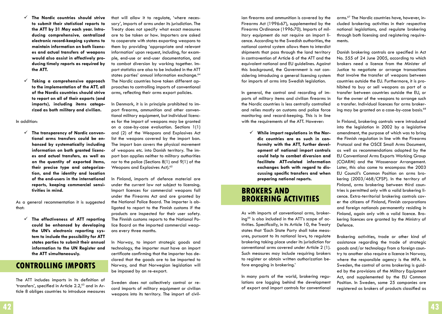- **The Nordic countries should strive to submit their statistical reports to the ATT by 31 May each year. Introducing comprehensive, centralized electronic record-keeping systems to maintain information on both licences and actual transfers of weapons would also assist in effectively producing timely reports as required by the ATT.**
- **Taking a comprehensive approach to the implementation of the ATT, all of the Nordic countries should strive to report on all of their exports (and imports), including items categorized as both military and civilian.**

In addition:

 **The transparency of Nordic conventional arms transfers could be enhanced by systematically including information on both granted licences and actual transfers, as well as on the quantity of exported items, their precise type and categorization, and the identity and location of the end-users in the international reports, keeping commercial sensitivities in mind.**

As a general recommentation it is suggested that:

 **The effectiveness of ATT reporting could be enhanced by developing the UN's electronic reporting system to include the possibility for ATT states parties to submit their annual information to the UN Register and the ATT simultaneously.**

## **Controlling imports**

The ATT includes imports in its definition of 'transfers', specified in Article  $2.2<sub>1</sub><sup>63</sup>$  and in Article 8 obliges countries to introduce measures that will allow it to regulate, 'where necessary', imports of arms under its jurisdiction. The Treaty does not specify what exact measures are to be taken or how. Importers are asked to cooperate with states exporting weapons to them by providing 'appropriate and relevant information' upon request, including, for example, end-use or end-user documentation, and to combat diversion by working together. Import statistics are also to be included in the ATT states parties' annual information exchange.<sup>64</sup> The Nordic countries have taken different approaches to controlling imports of conventional arms, reflecting their arms export policies.

In Denmark, it is in principle prohibited to import firearms, ammunition and other conventional military equipment, but individual licences for the import of weapons may be granted on a case-by-case evaluation. Sections 1(1) and (2) of the Weapons and Explosives Act list the weapons covered by the import ban. The import ban covers the physical movement of weapons etc. into Danish territory. The import ban applies neither to military authorities nor to the police (Sections 8(1) and 9(1) of the Weapons and Explosives Act).<sup>65</sup>

In Finland, imports of defence material are under the current law not subject to licensing. Import licences for commercial weapons fall under the Firearms Act and are granted by the National Police Board. The importer is obligated to report to the Finnish customs if the products are inspected for their user safety. The Finnish customs reports to the National Police Board on the imported commercial weapons every three months.

In Norway, to import strategic goods and technology, the importer must have an import certificate confirming that the importer has declared that the goods are to be imported to Norway, and that Norwegian legislation will be imposed by an re-export.

Sweden does not collectively control or record imports of military equipment or civilian weapons into its territory. The import of civil-

ian firearms and ammunition is covered by the Firearms Act (1996:67), supplemented by the Firearms Ordinance (1996:70). Imports of military equipment do not require an import licence. According to the Swedish authorities, the national control system allows them to interdict shipments that pass through the land territory in contravention of Article 6 of the ATT and the equivalent national and EU guidelines. Against this background, the Government is not considering introducing a general licensing system for imports of arms into Swedish legislation.

In general, the control and recording of imports of military items and civilian firearms in the Nordic countries is less centrally controlled and relies mostly on customs and police force monitoring and record-keeping. This is in line with the requirements of the ATT. However:

 **While import regulations in the Nordic countries are as such in conformity with the ATT, further development of national import controls could help to combat diversion and facilitate ATT-related information exchanges both with regard to discussing specific transfers and when preparing national reports.**

## **Brokers and brokering activities**

As with imports of conventional arms, brokering<sup>66</sup> is also included in the ATT's scope of  $ac$ tivities. Specifically, in its Article 10, the Treaty states that 'Each State Party shall take measures, pursuant to its national laws, to regulate brokering taking place under its jurisdiction for conventional arms covered under Article 2 (1). Such measures may include requiring brokers to register or obtain written authorization before engaging in brokering.'

In many parts of the world, brokering regulations are lagging behind the development of export and import controls for conventional arms.<sup>67</sup> The Nordic countries have, however, included brokering activities in their respective national legislations, and regulate brokering through both licensing and registering requirements.

Danish brokering controls are specified in Act No. 555 of 24 June 2005, according to which brokers need a licence from the Minister of Justice to negotiate or arrange transactions that involve the transfer of weapons between countries outside the EU. Furthermore, it is prohibited to buy or sell weapons as part of a transfer between countries outside the EU, or for the owner of the weapons to arrange such a transfer. Individual licences for arms brokering may be granted on a case-by-case basis.<sup>68</sup>

In Finland, brokering controls were introduced into the legislation in 2002 by a legislative amendment, the purpose of which was to bring the Finnish regulation in line with the Firearms Protocol and the OSCE Small Arms Document, as well as recommendations adopted by the EU Conventional Arms Exports Working Group (COARM) and the Wassenaar Arrangement. Later, this also came to encompass the 2003 EU Council's Common Position on arms brokering (2003/468/CFSP). In the territory of Finland, arms brokering between third countries is permitted only with a valid brokering licence. Extra-territorial brokering controls cover the citizens of Finland, Finnish corporations and foreign nationals permanently residing in Finland, again only with a valid licence. Brokering licences are granted by the Ministry of Defence.

Brokering activities, trade or other kind of assistance regarding the trade of strategic goods and/or technology from a foreign country to another also require a licence in Norway, where the responsible agency is the MFA. In Sweden, the control of arms brokering is guided by the provisions of the Military Equipment Act, and supplemented by the EU Common Position. In Sweden, some 25 companies are registered as brokers of products classified as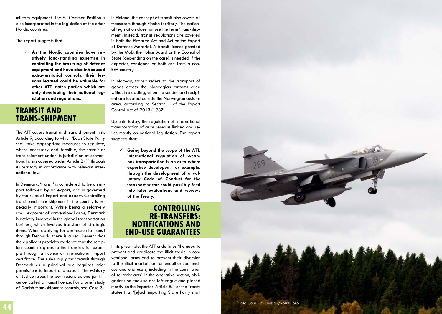military equipment. The EU Common Position is also incorporated in the legislation of the other Nordic countries.

The report suggests that:

 **As the Nordic countries have rel atively long-standing expertise in controlling the brokering of defence equipment and have also introduced extra-territorial controls, their les sons learned could be valuable for other ATT states parties which are only developing their national leg islation and regulations.** 

### **Transi t and t RANS-SHIPME**

The ATT covers transit and trans-shipment in its Article 9, according to which 'Each State Party shall take appropriate measures to regulate, where necessary and feasible, the transit or trans-shipment under its jurisdiction of conven tional arms covered under Article 2 (1) through its territory in accordance with relevant inter national law.'

In Denmark, 'transit' is considered to be an im port followed by an export, and is governed by the rules of import and export. Controlling transit and trans-shipment in the country is es pecially important. While being a relatively small exporter of conventional arms, Denmark is actively involved in the global transportation business, which involves transfers of strategic items. When applying for permission to transit through Denmark, there is a requirement that the applicant provides evidence that the recip ient country agrees to the transfer, for exam ple through a licence or international import certificate. The rules imply that transit through Denmark as a principal rule requires prior permissions to import and export. The Ministry of Justice issues the permissions as one joint li cence, called a transit licence. For a brief study of Danish trans-shipment controls, see Case 3.

In Finland, the concept of transit also covers all transports through Finnish territory. The nation al legislation does not use the term 'trans-ship ment'. Instead, transit regulations are covered in both the Firearms Act and Act on the Export of Defence Material. A transit licence granted by the Mo D, the Police Board or the Council of State (depending on the case) is needed if the exporter, consignee or both are from a non-EEA country.

In Norway, transit refers to the transport of goods across the Norwegian customs area without reloading, when the sender and recipi ent are located outside the Norwegian customs area, according to Section 1 of the Export Control Act of 2013/1987.

Up until today, the regulation of international transportation of arms remains limited and re lies mostly on national legislation. The report suggests that:

 **Going beyond the scope of the ATT, international regulation of weap ons transportation is an area where expertise developed, for example, through the development of a vol untary Code of Conduct for the transport sector could possibly feed into later evaluations and reviews of the Treaty.** 

### **C ontrolli ng re-ransfers: t NOTIFICATIONS AND e nd-use gu rantees a**

In its preamble, the ATT underlines 'the need to prevent and eradicate the illicit trade in con ventional arms and to prevent their diversion to the illicit market, or for unauthorized enduse and end-users, including in the commission of terrorist acts'. In the operative section, obli gations on end-use are left vague and placed mostly on the importer: Article 8.1 of the Treaty states that '[e]ach importing State Party shall

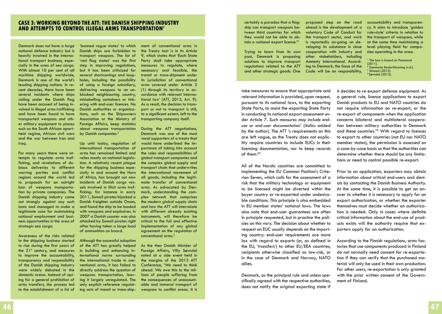## **Case 3: Working beyond the ATT: the Danish shipping industry and attempts to control illegal arms transportation1**

Denmark does not have a large national defence industry but is heavily involved in the international transport business, especially in the area of sea cargo. With almost 10 per cent of all maritime shipping worldwide, Denmark is one of the world's leading shipping nations. In recent decades, there have been several incidents where ships sailing under the Danish flag have been accused of being involved in illegal arms trafficking and have been found to have transported weapons and other military equipment to places such as the South African apartheid regime, African civil wars and the war between Iran and Iraq.

For many years there were attempts to regulate arms trafficking, and revelations of dubious deliveries to different warring parties and conflict regions around the world led to proposals for an outright ban of weapons transportation by private companies. The Danish shipping industry came out strongly against any such bans and managed to make a legitimate case for maintaining national employment and business opportunities in the area of strategic sea cargo.

Awareness of the risks related to the shipping business started to rise during the first years of the  $21<sup>st</sup>$  century, and measures to improve the accountability, transparency and responsibility of the Danish shipping industry were widely debated in the domestic arena. Instead of opting for a general prohibition of arms transfers, the process led to the establishment of a list of

'banned rogue states' to which Danish ships are forbidden to transport weapons. The list of 'red flag states' was the first step in improving regulations, but it has been criticized for several shortcomings and loopholes, including the possibility of using a foreign subsidiary, delivering weapons to an unblocked neighbouring country, mislabelling containers or tinkering with end-user licences. No Danish authorities or organizations, such as the Shipowners Association or the Ministry of Foreign Affairs, keep statistics about weapons transportation by Danish companies.<sup>2</sup>

Up until today, regulation of international transportation of arms has remained limited and relies mostly on national legislation. A relatively recent plague for the shipping business especially in and around the Horn of Africa, has brought out new incidents of Danish cargo vessels involved in illicit arms trafficking: for instance in early 2011, Somali pirates hijacked a Danish freighter outside Oman, and found the ship to be loaded with weapons and explosives. In 2007 a Danish coaster was also attacked by Somali pirates right after having taken a large load of ammunition on board.

Although the successful adoption of the ATT has greatly helped in building and enhancing international norms surrounding the international trade in conventional arms, it has failed to directly address the question of weapons transportation, leaving it largely unregulated. The only explicit reference regulating acts of transit or trans-shipment of conventional arms in the Treaty text is in its Article 9, which states that 'Each State Party shall take appropriate measures to regulate, where necessary and feasible, the transit or trans-shipment under its jurisdiction of conventional arms covered under Article 2 (1) through its territory in accordance with relevant international law' (ATT, 2013, Art. 9). As a result, the decision to transport or not to transport is still, to a significant extent, left to the transporting company itself.

During the ATT negotiations, Denmark was one of the most vocal supporters of a treaty that would have underlined the importance of taking into account the roles and responsibilities of global transport companies and the complex global supply and transport chain that underwrites the international movement of all goods, including the legitimate transfer of conventional arms. As advocated by Denmark, understanding the complex network that comprises the modern global supply chain and how the ATT will interrelate with different already existing instruments, will therefore be critical to the full and effective implementation of any global agreement on the regulation of conventional arms.3

As the then Danish Minister of Foreign Affairs, Villy Søvndal noted at a side event held in the margins of the 2013 ATT Conference, 'We need to think ahead. We owe this to the millions of people suffering from the consequences of unaccountable and immoral transport of weapons to conflict areas. It is certainly a paradox that a flagship can transport weapons between third countries for which they would not be able to obtain a national export license.'4

Trying to learn from its own past, Denmark is proposing solutions to improve transport regulations related to the ATT and other strategic goods. One proposed step on the road ahead is the development of a voluntary Code of Conduct for the transport sector, and work is reportedly on-going on developing its substance in close cooperation with industry and other stakeholders, including Amnesty International. According to Denmark, the focus of the Code will be on responsibility,

accountability and transparency. It aims to introduce 'golden rule-style' criteria in relation to the transport of weapons, while at the same time maintaining a level playing field for companies operating in the area.

1 The box is based on Paamand (2011). Danmarks Rederiförening (n.d.). Stimson (2013). 4 Søvndal (2013).

take measures to ensure that appropriate and relevant information is provided, upon request, pursuant to its national laws, to the exporting State Party, to assist the exporting State Party in conducting its national export assessment under Article 7. *Such measures may include enduse or end-user documentation'* (italics added by the author). The ATT 's requirements on this are left vague, as the Treaty does not explicitly require countries to include EUCs in their licensing documentation, nor to keep records of them.69

All of the Nordic countries are committed to implementing the EU Common Position's Criterion Seven, which calls for the assessment of a risk that the military technology or equipment to be licensed might be diverted within the buyer country or re-exported under undesirable conditions. This principle is also embedded in EU member states' national laws. The laws also note that end-user guarantees are often in principle requested, but in practice the policies on this vary. The decision about whether to request an EUC usually depends on the importing country: end-user requirements are more lax with regard to exports (or, as defined in the EU, 'transfers') to other EU/EEA countries, recipients otherwise classified as low-risk, or in the case of Denmark and Norway, NATO allies.

Denmark, as the principal rule and unless specifically agreed with the respective authorities, does not notify the original exporting state if it decides to re-export defence equipment. As a general rule, licence applications to export Danish products to EU and NATO countries do not require information on re-export, or the re-export of components when the application concerns bilateral and multilateral cooperation between military authorities in Denmark and these countries.70 With regard to licences to export to other countries (not EU nor NATO member states), the permission is assessed on a case-by-case basis so that the authorities can determine whether there should be any limitations or need to control possible re-export.

Prior to an application, exporters may obtain information about critical end-users and denials by contacting the Danish Business Authority. At the same time, it is possible to get an answer to whether it is necessary to apply for an export authorization, or whether the exporter themselves must decide whether an authorization is needed. Only in cases where definite critical information about the end-use of products exists will the authority require that exporters apply for an authorization.

According to the Finnish regulations, arms factories that use components produced in Finland do not normally need consent for re-exportation if they can verify that the purchased material will only be used in their own production. For other users, re-exportation is only granted with the prior written consent of the Government of Finland.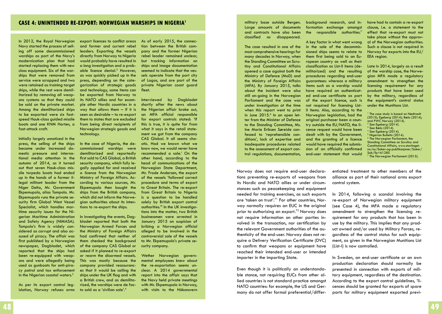### **CASE 4: UNINTENDED RE-EXPORT: NORWEGIAN WARSHIPS IN NIGERIA<sup>1</sup> military base outside Bergen.**

In 2012, the Royal Norwegian Navy started the process of selling off some decommissioned warships as part of the Navy's modernization plan that had started replacing them with new class equipment. Six of the warships that were removed from service were scrapped and two were retained as training target ships, while the rest were demilitarized by removing all weapons systems so that they could be sold on the private market. Among the demilitarized ships to be exported were six fastspeed Hauk-class guided missile boats and one KNM Horten, a fast-attack craft.

Initially largely unnoticed in the press, the selling of the ships became under increased domestic pressure and international media attention in the autumn of 2014, as it turned out that seven Hauk-class missile torpedo boats had ended up in the hands of a former illegal militant leader from the Niger Delta, Mr. Government Ekpemupolo, alias Tompolo. Mr. Ekpemupolo runs the private security firm Global West Vessel Specialist, which handles maritime security issues for the Nigerian Maritime Administration and Safety Agency (NIMASA). Tompolo's firm is widely considered as corrupt and also accused of piracy. The affair was first published by a Norwegian newspaper, Dagbladet, which reported that the ships had been re-equipped with weapons and were allegedly being used as gunboats for anti-piracy patrol and tax enforcement in the Nigerian coastal waters.<sup>2</sup>

As per its export control legislation, Norway refuses arms

export licences to conflict areas and former and current rebel leaders. Exporting the vessels directly from Norway to Nigeria would probably have resulted in a long investigation and a probable licence denial.<sup>3</sup> However, as was quickly picked up in the press, depending on the categorization of strategic goods and technology, some items can be exported from Norway to its NATO allies and for example other Nordic countries in a way that allows them  $-$  if it is seen as desirable – to re-export them to states that are excluded from being direct recipients of Norwegian strategic goods and technology.

In the case of Nigeria, the decommissioned warships were demilitarized and reportedly first sold to CAS Global, a British security company, which fully legally applied for and received a licence from the Norwegian Ministry of Foreign Affairs. According to various sources, Mr. Ekpemupolo then bought the ships from the British company, which did not inform the Norwegian authorities about its intentions to re-export the ships.

In investigating the events, Dagbladet reported that both the Norwegian Armed Forces and the Ministry of Foreign Affairs had confirmed that neither of them checked the background of the company CAS Global or asked if it planned to re-export or rearm the disarmed vessels. This was mostly because the company provided reassurances that it would be sailing the ships under the UK flag and with a British crew, and as demilitarized, the warships were de facto sold as a 'civilian sale'.4

As of early 2015, the connection between the British company and the former Nigerian rebel leader remained unclear, but tracking information on ships and image documentation seemed to indicate that the vessels operate from the port city of Lagos, and are part of the private Nigerian coast guard fleet.

Interviewed by Dagbladet shortly after the news about the Nigerian affair broke out, an MFA official responsible for export controls stated: 'If this is true, it is quite far from what it says in the retail statement we got from the company CAS Global. It all seems chaotic. Had we known what we know now, we would never have recommended a sale.' On the other hand, according to the head of communications of the Norwegian State Department, Mr. Frode Andersen, the export of the vessels 'followed correct procedure and terms of export to Great Britain. The re-export from Great Britain to Nigeria is a question to be handled solely by British export control authorities.'5 In the UK investigations into the matter, two British businessmen were arrested in January 2015 on suspicion of bribing a Norwegian official alleged to be involved in the controversial sale of the vessels to Mr. Ekpemupolo's private security company.

Wether Norwegian governmental employees knew about the re-exportation seems unclear. A 2014 governmental report into the affair says that the Navy held private meetings with Mr. Ekpemupolo in Norway, with visits to the Håkonsvern

Large amounts of documents and contracts have also been classified as disappeared.

The case resulted in one of the most comprehensive hearings for many decades in Norway, when the Standing Committee on Scrutiny and Constitutional Affairs opened a case against both the Ministry of Defence (MoD) and the Ministry of Foreign Affairs (MFA). By January 2015, talks about the incident were also still on-going in the Norwegian Parliament and the case was under investigation at the time when this report went to print in June 2015.<sup>6</sup> In an open letter from the Minister of Defence to the Standing Committee, Ms. Ine Marie Eriksen Søreide confessed to 'reprehensible conditions', lack of expertise and inadequate procedures related to the assessment of export control regulations, documentation,

Norway does not require end-user declarations preventing re-exports of weapons from its Nordic and NATO allies or under circumstances such as peacekeeping and equipment needed for training exercises, as such exports are 'taken on trust'.<sup>71</sup> For other countries, Norway normally requires an EUC in the original prior to authorizing an export.<sup>72</sup> Norway does not require information on other parties involved in the transaction, nor certification by the relevant Government authorities of the authenticity of the end-user. Norway does not require a Delivery Verification Certificate (DVC) to confirm that weapons or equipment have reached their intended end-user or intended importer in the importing State.

Even though it is politically an understandable stance, not requiring EUCs from other allied countries is not standard practice amongst NATO countries: for example, the US and Germany do not offer formal preferential/differ-

background research, and information exchange amongst the responsible authorities. $7$ 

A key factor in what went wrong in the sale of the decommissioned ships seems to relate to them first being sold to an European country as well as their classification as List-II items (demilitarized) and the resulting procedures regarding end-user guarantees: whereas a military items such as a warship would have required an authenticated end-use certificate as part of the export licence, such is not required for licensing List-II items. Also, according to the Norwegian legislation, had the original purchaser been a country outside the EU/NATO, the licence request would have been dealt with by the Government, and the granting of a licence would have required the submission of an officially confirmed end-user statement that would

have had to contain a re-export clause, i.e. a statement to the effect that re-export must not take place without the approval of the Norwegian authorities. Such a clause is not required in Norway for exports into the EU/ EEA region.

Late in 2014, largely as a result of the warship case, the Norwegian MFA made a regulatory amendment to strengthen the licensing requirement for any products that have been used by the military, regardless of the equipment's control status under the Munitions List.

1 The case study is based on Nødtvedt (2015); Egeberg (2014); Bøås (2014); and PWC Norway (2014). <sup>2</sup> See Egeberg (2014).<br><sup>3</sup> See Bøås (2014).<br><sup>4 See Egeberg (2014).</sup> See Egeberg (2014). 5 Nigerian Bulletin (2014). <sup>6</sup> The Norwegian Parliament, the Standing Committee on Scrutiny and Constitutional Affairs, www.stortinget. no/no/Saker-og-publikasjoner/Saker/  $Sak/2p=61285$ 7 The Norwegian Parliament (2015).

entiated treatment to other members of the alliance as part of their national arms export control system.

In 2014, following a scandal involving the re-export of Norwegian military equipment (see Case 4), the MFA made a regulatory amendment to strengthen the licensing requirement for any products that has been in use by the military. This implies that any product owned and/or used by Military Forces, regardless of the control status for such equipment, as given in the Norwegian Munitions List (List-I) is now controlled.

In Sweden, an end-user certificate or an own production declaration should normally be presented in connection with exports of military equipment, regardless of the destination. According to the export control guidelines, 'licences should be granted for exports of spare parts for military equipment exported previ-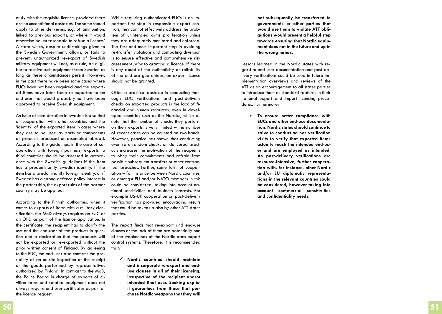ously with the requisite licence, provided there are no unconditional obstacles. The same should apply to other deliveries, e.g. of ammunition, linked to previous exports, or where it would otherwise be unreasonable to refuse a licence.' A state which, despite undertakings given to the Swedish Government, allows, or fails to prevent, unauthorized re-export of Swedish military equipment will not, as a rule, be eligi ble to receive such equipment from Sweden as long as these circumstances persist. However, in the past there have been some cases where EUCs have not been required and the export ed items have later been re-exported to an end-user that would probably not have been approved to receive Swedish equipment.

An issue of consideration in Sweden is also that of cooperation with other countries and the 'identity' of the exported item in cases where they are to be used as parts or components of products produced or assembled abroad. According to the guidelines, in the case of co operation with foreign partners, exports to third countries should be assessed in accord ance with the Swedish guidelines if the item has a predominantly Swedish identity. If the item has a predominantly foreign identity, or if Sweden has a strong defence policy interest in the partnership, the export rules of the partner country may be applied.

According to the Finnish authorities, when it comes to exports of items with a military clas sification, the MoD always requires an EUC or an OPD as part of the licence application. In the certificate, the recipient has to clarify the use and the end-user of the products in ques tion and a declaration that the products will not be exported or re-exported without the prior written consent of Finland. By agreeing to the EUC, the end-user also confirms the pos sibility of an on-site inspection of the receipt of the goods performed by representatives authorized by Finland. In contrast to the Mo D, the Police Board in charge of exports of ci vilian arms and related equipment does not always require end-user certificates as part of the licence request.

While requiring authenticated EUCs is an im portant first step in responsible export con trols, they cannot effectively address the prob lem of unintended arms proliferation unless they are adequately monitored and enforced. The first and most important step in avoiding re-transfer violations and combating diversion is to ensure effective and comprehensive risk assessment *prior* to granting a licence. If there is any doubt of the authenticity or reliability of the end-use guarantees, an export licence should not be granted.

Often a practical obstacle in conducting thor ough EUC verifications and post-delivery checks on exported products is the lack of fi nancial and human resources, even in devel oped countries such as the Nordics, which all note that the number of checks they perform on their exports is very limited – the number of recent cases can be counted on two hands. However, practice has shown that conducting even rare random checks on delivered prod ucts increases the motivation of the recipients to obey their commitments and refrain from possible subsequent transfers or other contrac tual breaches. Further, some form of cooper ation – for instance between Nordic countries, or amongst EU and/or NATO members in this could be considered, taking into account na tional sensitivities and business interests. For example US-UK cooperation on post-delivery verification has provided encouraging results that could be taken up also by other ATT states parties.

The report finds that re-export and end-use clauses or the lack of them are potentially one of the weaknesses of the Nordic arms export control systems. Therefore, it is recommended that:

 **Nordic countries should maintain and incorporate re-export and enduse clauses in all of their licensing, irrespective of the recipient and/or intended final user. Seeking explic it guarantees from those that pur chase Nordic weapons that they will** 

**not subsequently be transferred to governments or other parties that would use them to violate ATT obli gations would present a helpful step towards ensuring that Nordic equip ment does not in the future end up in the wrong hands.** 

Lessons learned in the Nordic states with re gard to end-user documentation and post-de livery verifications could be used in future im plementation overviews and reviews of the ATT as an encouragement to all states parties to introduce them as standard features in their national export and import licensing proce dures. Furthermore:

 **To ensure better compliance with EUCs and other end-use documenta tion, Nordic states should continue to strive to conduct ad hoc verification visits to verify that exported items actually reach the intended end-us er and are employed as intended. As post-delivery verifications are resource-intensive, further coopera tion with, for instance, other Nordic and/or EU diplomatic representa tions in the relevant countries could be considered, however taking into account commercial sensitivities and confidentiality needs.**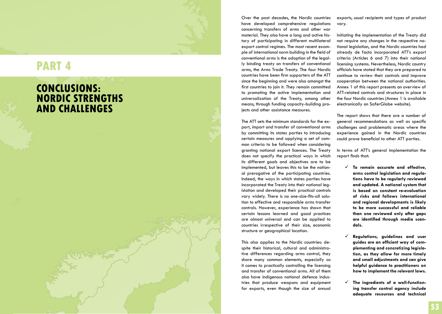# **RT 4**

## **C o nclusio ns: NORDIC STRENGTHS and ch alle nges**

Over the past decades, the Nordic countries have developed comprehensive regulations concerning transfers of arms and other war material. They also have a long and active his tory of participating in different multilateral export control regimes. The most recent exam ple of international norm building in the field of conventional arms is the adoption of the legal ly binding treaty on transfers of conventional arms, the Arms Trade Treaty. The four Nordic countries have been firm supporters of the ATT since the beginning and were also amongst the first countries to join it. They remain committed to promoting the active implementation and universalization of the Treaty, among other means, through funding capacity-building pro jects and other assistance measures.

The ATT sets the minimum standards for the ex port, import and transfer of conventional arms by committing its states parties to introducing certain measures and applying a set of com mon criteria to be followed when considering granting national export licences. The Treaty does not specify the practical ways in which its different goals and objectives are to be implemented, but leaves this to be the nation al prerogative of the participating countries. Indeed, the ways in which states parties have incorporated the Treaty into their national leg islation and developed their practical controls vary widely. There is no one-size-fits-all solu tion to effective and responsible arms transfer controls. However, experience has shown that certain lessons learned and good practices are almost universal and can be applied to countries irrespective of their size, economic structure or geographical location.

This also applies to the Nordic countries: despite their historical, cultural and administra tive differences regarding arms control, they share many common elements, especially as it comes to practically controlling the licensing and transfer of conventional arms. All of them also have indigenous national defence indus tries that produce weapons and equipment for exports, even though the size of annual

exports, usual recipients and types of product vary.

Initiating the implementation of the Treaty did not require any changes in the respective na tional legislation, and the Nordic countries had already de facto incorporated ATT's export criteria (Articles 6 and 7) into their national licensing systems. Nevertheless, Nordic country officials have stated that they are prepared to continue to review their controls and improve cooperation between the national authorities. Annex 1 of this report presents an overview of ATT-related controls and structures in place in the four Nordic countries (Annex 1 is available electronically on SaferGlobe website).

The report shows that there are a number of general recommendations as well as specific challenges and problematic areas where the experience gained in the Nordic countries could prove beneficial to other ATT parties.

In terms of ATT's general implementation the report finds that:

- **To remain accurate and effective, arms control legislation and regula tions have to be regularly reviewed and updated. A national system that is based on constant re-evaluation of risks and follows international and regional developments is likely to be more successful and reliable than one reviewed only after gaps are identified through media scan dals.**
- **Regulations, guidelines and user guides are an efficient way of com plementing and concretizing legisla tion, as they allow for more timely and small adjustments and can give helpful guidance to practitioners on how to implement the relevant laws.**
- **The ingredients of a well-function ing transfer control agency include adequate resources and technical**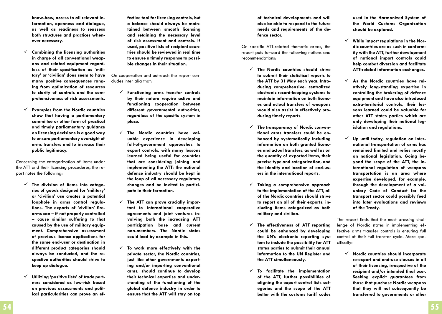**know-how, access to all relevant information, openness and dialogue, as well as readiness to reassess both structures and practices whenever necessary.**

- **Combining the licensing authorities in charge of all conventional weapons and related equipment regardless of their specification as 'military' or 'civilian' does seem to have many positive consequences ranging from optimization of resources to clarity of controls and the comprehensiveness of risk assessments.**
- **Examples from the Nordic countries show that having a parliamentary committee or other form of practical and timely parliamentary guidance on licensing decisions is a good way to ensure parliamentary oversight of arms transfers and to increase their public legitimacy.**

Concerning the categorization of items under the ATT and their licensing procedures, the report notes the following:

- **The division of items into categories of goods designed for 'military' or 'civilian' use creates a potential loophole in arms control regulations. The exports of 'civilian' firearms can – if not properly controlled – cause similar suffering to that caused by the use of military equipment. Comprehensive assessment of previous licence applications for the same end-user or destination in different product categories should always be conducted, and the respective authorities should strive to keep up dialogue.**
- **Utilizing 'positive lists' of trade partners considered as low-risk based on previous assessments and political particularities can prove an ef-**

**fective tool for licensing controls, but a balance should always be maintained between smooth licensing and retaining the necessary level of risk assessment and controls. If used, positive lists of recipient countries should be reviewed in real time to ensure a timely response to possible changes in their situation.** 

On cooperation and outreach the report concludes inter alia that:

- **Functioning arms transfer controls by their nature require active and functioning cooperation between different governmental authorities, regardless of the specific system in place.**
- **The Nordic countries have valuable experience in developing full-of-government approaches to export controls, with many lessons learned being useful for countries that are considering joining and implementing the ATT: the national defence industry should be kept in the loop of all necessary regulatory changes and be invited to participate in their formation.**
- **The ATT can prove crucially important to international cooperative agreements and joint ventures involving both the increasing ATT participation base and current non-members. The Nordic states could lead by example in this.**
- **To work more effectively with the private sector, the Nordic countries, just like other governments exporting and/or importing conventional arms, should continue to develop their technical expertise and understanding of the functioning of the global defence industry in order to ensure that the ATT will stay on top**

**of technical developments and will also be able to respond to the future needs and requirements of the defence sector.**

On specific ATT-related thematic areas, the report puts forward the following notions and recommendations:

- **The Nordic countries should strive to submit their statistical reports to the ATT by 31 May each year. Introducing comprehensive, centralized electronic record-keeping systems to maintain information on both licences and actual transfers of weapons would also assist in effectively producing timely reports.**
- **The transparency of Nordic conventional arms transfers could be enhanced by systematically including information on both granted licences and actual transfers, as well as on the quantity of exported items, their precise type and categorization, and the identity and location of end-users in the international reports.**
- **Taking a comprehensive approach to the implementation of the ATT, all of the Nordic countries should strive to report on all of their exports, including items categorized as both military and civilian.**
- **The effectiveness of ATT reporting could be enhanced by developing the UN's electronic reporting system to include the possibility for ATT states parties to submit their annual information to the UN Register and the ATT simultaneously.**
- **To facilitate the implementation of the ATT, further possibilities of aligning the export control lists categories and the scope of the ATT better with the customs tariff codes**

**used in the Harmonized System of the World Customs Organization should be explored.** 

- **While import regulations in the Nordic countries are as such in conformity with the ATT, further development of national import controls could help combat diversion and facilitate ATT-related information exchanges.**
- **As the Nordic countries have relatively long-standing expertise in controlling the brokering of defence equipment and have also introduced extra-territorial controls, their lessons learned could be valuable for other ATT states parties which are only developing their national legislation and regulations.**
- **Up until today, regulation on international transportation of arms has remained limited and relies mostly on national legislation. Going beyond the scope of the ATT, the international regulation of weapons transportation is an area where expertise developed, for example, through the development of a voluntary Code of Conduct for the transport sector could possibly feed into later evaluations and reviews of the Treaty.**

The report finds that the most pressing challenge of Nordic states in implementing effective arms transfer controls is ensuring full control of their full transfer cycle. More specifically:

 **Nordic countries should incorporate re-export and end-use clauses in all of their licensing, irrespective of the recipient and/or intended final user. Seeking explicit guarantees from those that purchase Nordic weapons that they will not subsequently be transferred to governments or other**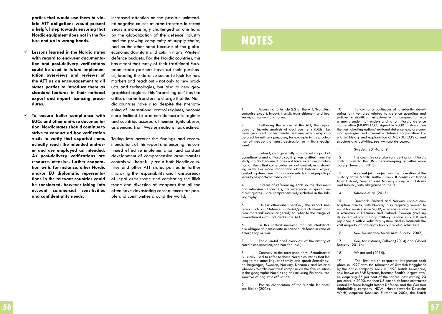**parties that would use them to violate ATT obligations would present a helpful step towards ensuring that Nordic equipment does not in the future end up in wrong hands.** 

- **Lessons learned in the Nordic states with regard to end-user documentation and post-delivery verifications could be used in future implementation overviews and reviews of the ATT as an encouragement to all states parties to introduce them as standard features in their national export and import licensing procedures.**
- **To ensure better compliance with EUCs and other end-use documentation, Nordic states should continue to strive to conduct ad hoc verification visits to verify that exported items actually reach the intended end-user and are employed as intended. As post-delivery verifications are resource-intensive, further cooperation with, for instance, other Nordic and/or EU diplomatic representations in the relevant countries could be considered, however taking into account commercial sensitivities and confidentiality needs.**

Increased attention on the possible unintended negative causes of arms transfers in recent years is increasingly challenged on one hand by the globalization of the defence industry and the growing complexity of supply chains, and on the other hand because of the global economic downturn and cuts in many Western defence budgets. For the Nordic countries, this has meant that many of their traditional European trade partners have cut their purchases, leading the defence sector to look for new markets and reach out – not only to new products and technologies, but also to new geographical regions. This 'branching out' has led critics of arms transfers to charge that the Nordic countries have also, despite the strengthening of international control regimes, become more inclined to arm non-democratic regimes and countries accused of human rights abuses, as demand from Western nations has declined.

Taking into account the findings and recommendations of this report and ensuring the continued effective implementation and constant development of comprehensive arms transfer controls will hopefully assist both Nordic countries and other ATT states parties in further improving the responsibility and transparency of legal arms trade and combating the illicit trade and diversion of weapons that all too often have devastating consequences for people and communities around the world.

## **notes**

1 According to Article 2.2 of the ATT, 'transfers' comprise export, import, transit, trans-shipment and bro- kering of conventional arms.

2 Following the scope of the ATT, the report does not include analysis of dual use items (DUIs), i.e. items produced for legitimate civil uses which may also tion of weapons of mass destruction or military equip-<br>ment.

3 Iceland, also generally considered as part of Scandinavia and a Nordic country, was omitted from the study mainly because it does not have extensive production of items that come under export control, or a stand-<br>ing army. For more information about Iceland's export control system, see http://www.mfa.is/foreign-policy/ security/export-control-system/.

4 Instead of referencing each source document and interview separately, the references – apart from direct quotes – are comprehensively included in the bibliography.

5 Unless otherwise specified, the report uses terms such as 'defence material/products/items' and 'war material' interchangeably to refer to the range of conventional arms included in the ATT.

6 In this context meaning that all inhabitants are obliged to participate in national defence in case of emergency or war.

7 For a useful brief overview of the history of Nordic cooperation, see Norden (n.d.)

8 Contrary to the term used here, 'Scandinavia'<br>is usually used to refer to those Nordic countries that belong to the same linguistic family and speak Scandinavi-<br>an languages, Sweden, Norway, Denmark and Iceland, whereas 'Nordic countries' comprise all the five countries in the geographic Nordic region (including Finland), irrespective of linguistic affiliation.

9 For an elaboration of the 'Nordic balance', see Rieker (2004).

10 Following a continuum of gradually devel- oping joint ventures related to defence spending and policies, a significant milestone in this cooperation was a memorandum of understanding on Nordic defence cooperation (NORDEFCO) signed in 2009 to strengthen mon synergies and streamline defence cooperation. For a brief history and explanation of NORDEFCO's current structure and activities, see www.nordefco.org.

11 Sweden, 2014a, p. 9.

12 The countries are also considering joint Nordic contributions to the UN's peacekeeping activities more closely (Tuomioja, 2013).

13 A recent joint project was the formation of the military force Nordic Battle Group. It consists of troops from Finland, Sweden and Norway along with Estonia and Ireland, with allegiance to the EU.

14 Søreide et al. (2015).

15 Denmark, Finland and Norway uphold conscription armies, with Norway also requiring women to enlist for service since 2009, whereas service for women is voluntary in Denmark and Finland. Sweden gave up its system of compulsory military service in 2010 and replaced it with a voluntary system, and in Denmark the vast majority of conscripts today are also volunteers.

16 See, for instance Small Arms Survey (2007).

17 See, for instance, Sullivan,(2014) and Global Security (2011a).

18 Westerlund (2015).

19 The first major corporate integration took place in 1997 with the takeover of Swedish Hägglunds by the British company Alvis. In 1998 British Aerospace, now known as BAE Systems, became Saab's largest owner, acquiring 35 per cent of the shares (now owning 20 per cent). In 2000, the then US-based defence contractor United Defense bought Bofors Defence, and the German shipbuilding company HDW (Howaldtswerke-Deutsche Werft) acquired Kockums. Further, in 2004, the British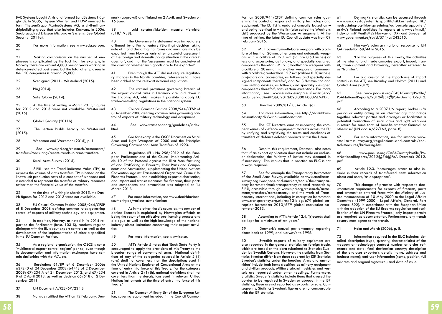BAE Systems bought Alvis and formed LandSystems Hägglunds. In 2005, Thyssen Werften and HDW merged to form ThyssenKrupp MarineSystems AG, a civil-military shipbuilding group that also includes Kockums. In 2006, Saab acquired Ericsson Microwave Systems. See Global Security (2011a).

20 For more information, see www.eda.europa. eu.

21 Making comparisons on the number of employees is complicated by the fact that, for example, in Norway there are around 4,800 person years working in defence-related businesses, but the total of employees in the 120 companies is around 25,000.

22 Svensgård (2011); Westerlund (2015).

23 PIA,(2014).

24 SaferGlobe (2014).

25 At the time of writing in March 2015, figures for 2012 and 2013 were not available. Westerlund (2015).

26 Global Security (2011b).

27 The section builds heavily on Westerlund (2015).

28 Wezeman and Wezeman (2015), p. 1.

29 See www.sipri.org/research/armaments/ transfers/measuring/recent-trends-in-arms-transfers.

30 Small Arms Survey (2015).

31 SIPRI uses the Trend Indicator Value (TIV) to express the volume of arms transfers. TIV is based on the known unit production costs of a core set of weapons and is intended to represent the transfer of military resources rather than the financial value of the transfer.

32 At the time of writing in March 2015, the Danish figures for 2012 and 2013 were not available.

33 EU Council Common Position 2008/944/CFSP of 8 December 2008 defining common rules governing control of exports of military technology and equipment.

34 In addition, Norway, as noted in its 2014 re- port to the Parliament (Innst. 103 S), conducts regular dialogue with the EU about export controls as well as the development of the implementation of criteria specified in the EU Common Position.

35 As a regional organization, the OSCE is not a 'multilateral export control regime' per se, even though its documentation and information exchanges have certain similarities with the WA, etc.

36 Resolutions 61/89 of 6 December 2006; 63/240 of 24 December 2008; 64/48 of 2 December 2009; 67/234 A of 24 December 2012, and 67/234 B of 2 April 2013, as well as decision  $66/518$  of 2 December 2011.

- 37 UN Document A/RES/67/234 B.
- 38 Norway ratified the ATT on 12 February, Den-

mark (approval) and Finland on 2 April, and Sweden on 16 June.

39 'Laki sotatarvikkeiden maasta viennistä' (318/1938).

40 The Government's statement was immediately affirmed by a Parliamentary (Storting) decision taking note of it and declaring that 'arms and munitions may be exported from Norway only after a careful assessment of the foreign and domestic policy situation in the area in question', and that the 'assessment must be conclusive of the question whether such goods are to be exported'.

Even though the ATT did not require legislatory changes in the Nordic countries, references to it have been added to the relevant national regulations.

42 The criminal provisions governing breach of the export control rules in Denmark are laid down in the Enabling Act, which makes it possible to apply EU trade-controlling regulations in the national system.

43 Council Common Position 2008/944/CFSP of 8 December 2008 defining common rules governing control of exports of military technology and equipment.

44 See www.wassenaar.org/guidelines/index. html.

45 See for example the OSCE Document on Small Arms and Light Weapons of 2000 and the Principles Governing Conventional Arms Transfers of 1993.

46 Regulation (EU) No 258/2012 of the European Parliament and of the Council implementing Article 10 of the Protocol against the Illicit Manufacturing of and Trafficking in Firearms, Their Parts and Components and Ammunition, supplementing the United Nations Convention against Transnational Organized Crime (UN Firearms Protocol), and establishing export authorisation, and import and transit measures for firearms, their parts and components and ammunition was adopted on 14 March 2012.

47 For more information, see www.danishbusinessauthority.dk/various-authorisations

48 As in the other Nordic countries, the number of denied licences is explained by Norwegian officials as being the result of an effective pre-licensing process and dialogue as well as the high knowledge of the national industry about limitations concerning their export activi- ties.

49 For more information, see www.isp.se.

50 ATT's Article 5 notes that 'Each State Party is encouraged to apply the provisions of this Treaty to the broadest range of conventional arms. National definitions of any of the categories covered in Article 2 (1) (a-g) shall not cover less than the descriptions used in the United Nations Register of Conventional Arms at the time of entry into force of this Treaty. For the category covered in Article 2 (1) (h), national definitions shall not cover less than the descriptions used in relevant United Nations instruments at the time of entry into force of this Treaty.'

51 The Common Military List of the European Union, covering equipment included in the Council Common

Position 2008/944/CFSP defining common rules governing the control of exports of military technology and equipment. The EU list is updated annually based on – and being identical to – the list (also called the 'Munitions List') produced by the Wassenaar Arrangement. At the time of writing, the latest EU Council update was from 09 February 2015.

52 ML 1 covers 'Smooth-bore weapons with a calibre of less than 20 mm, other arms and automatic weapons with a calibre of 12.7 mm (calibre 0.50 inches) or less and accessories, as follows, and specially designed components therefor:': ML 2 'Smooth-bore weapons with a calibre of 20 mm or more, other weapons or armament with a calibre greater than 12.7 mm (calibre 0.50 inches), projectors and accessories, as follows, and specially designed components therefor'; and ML 3 'Ammunition and fuse setting devices, as follows, and specially designed components therefor', with certain exceptions. For more information, see www.eur-lex.europa.eu/LexUriServ/ LexUriServ.do?uri=OJ:C:2013:090:0001:0037:EN:PDF.

53 Directive 2009/81/EC, Article 1(6).

54 For more information, see http://danishbusinessauthority.dk/various-authorisations.

55 The ICT Directive aims at improving the competitiveness of defence equipment markets across the EU by unifying and simplifying the terms and conditions of transfers of defence-related products within the Union.

56 Despite this requirement, Denmark also notes that 'if an export application does not include an end-user declaration, the Ministry of Justice may demand it, if necessary'. This implies that in practice an EUC is not always required.

57 See for example the Transparency Barometer of the Small Arms Survey, available at www.smallarmssurvey.org/weapons-and-markets/tools/the-transparency-barometer.html; transparency-related research by SIPRI, accessible through www.sipri.org/research/armaments/transfers/transparency; and the work of Transparency International, including its corruption barometer: www.transparency.org.uk/rss/12-blog/679-global-corruption-barometer-2013/679-global-corruption-barometer-2013.

58 According to ATT's Article 12.4, '[r]ecords shall be kept for a minimum of ten years.'

59 Denmark's annual parliamentary reporting dates back to 1999; and Norway's to 1996.

60 Swedish exports of military equipment are also reported in the general statistics on foreign trade, den by Swedish Customs. However, the statistics from Statistics Sweden differ from those reported by ISP. Statistics Sweden's statistics under the heading 'Arms and ammunition' include both items classified as military equipment and civilian products. Military aircraft, vehicles and vessels are reported under other headings. Furthermore, Statistics Sweden's statistics include items that crossed the border to be repaired in Sweden or abroad. In the ISP statistics, these are not reported as exports for sale. Consequently, Statistics Sweden's figures are not comparable with the ISP statistics.

61 Denmark's statistics can be accessed through www.um.dk/da/udenrigspolitik/sikkerhedspolitik/ nedrustning-og-ikke-spredning/udfoerselsrapporter/ arkiv/; Finland publishes its reports at www.defmin.fi/ index.phtml?l=en&s=2; Norway at XX; and Sweden at www.government.se/sb/d/574/a/243515.

62 Norway's voluntary national response to UN GA resolution 68/44 in 2015.

63 'For the purposes of this Treaty, the activities of the international trade comprise export, import, transit, trans-shipment and brokering, hereafter referred to as "transfer".'

64 For a discussion of the importance of import controls in the ATT, see Bromley and Holtom (2011) and Control Arms (2012).

See www.poa-iss.org/CASACountryProfile/ PoANationalReports/2012@54@PoA-Denmark-2012. pdf.

66 According to a 2007 UN report, broker is 'a person or entity acting as an intermediary that brings together relevant parties and arranges or facilitates a potential transaction of small arms and light weapons in return for some form of benefit, whether financial or otherwise' (UN doc. A/62/163, para. 8).

67 For more information, see for instance www. smallarmssurvey.org/regulations-and-controls/control-measures/brokering.html.

68 www.poa-iss.org/CASACountryProfile/Po-ANationalReports/2012@54@PoA-Denmark-2012. pdf

69 Article 12.3. 'encourages' states to also include in their records of transferred items information about end users, 'as appropriate'.

70 This change of practice with respect to documentation requirements for exports of firearms, parts and ammunition entered force with the Ministry of Justice memorandum of 10 May 2000 to the Legal Affairs Committee (1999-2000 - Legal Affairs, General. Part - Annex 892). In accordance with the European Union with the adoption of the EU firearms regulation and ratification of the UN Firearms Protocol, only import permits are required as documentation. Furthermore, any transit country must agree to the transit.

71 Holm and Marsh (2006), p. 8.

72 Information required in the EUC includes: de- tailed description (type, quantity, characteristics) of the erence and date; final destination country; description of the end-use; exporter's details (name, address and business name); end-user information (name, position, full address and original signature); and date of issue.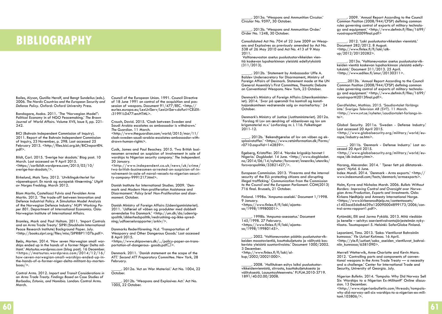## **Bibliography**

Bailes, Alyson, Gunilla Herolf, and Bengt Sundelius (eds.). 2006. *The Nordic Countries and the European Security and Defence Policy*. Oxford: Oxford University Press.

Bandagare, Asoka. 2011. `The "Norwegian Model": Political Economy in of NGO Peacemaking.' *The Brown*  Journal of World Affairs. Volume XVII, Issue II, pp. 221-242.

BICI (Bahrain Independent Commission of Inquiry). 2011. Report of the Bahrain Independent Commission of Inquiry, 23 November, p. 298. Last accessed 25 February 2013. <http://files.bici.org.bh/BICIreportEN. pdf>.

Bildt, Carl. 2015. 'Sverige har skadats.' Blog post. 10 March. Last accessed on 9 April 2015. <https://carlbildt.wordpress.com/2015/03/10/ sverige-har-skadats/>.

Birkelund, Mats Tony. 2012. `Utviklingskriteriet for våpeneksport. En norsk og europeisk tilnærming.' *Utgitt av Norges Fredslag.* March 2012.

Blom Martin, Castellacci Fulvio and Fevolden Arne Martin. 2012. `The trade-off between Innovation and Defence Industrial Policy. A Simulation Model Analysis of the Norwegian Defence Industry.' *NUPI Working Paper 801.* Department of International Economics. Oslo: Norwegian Institute of International Affairs.

Bromley, Mark and Paul Holtom. 2011. 'Import Controls and an Arms Trade Treaty.' SIPRI (Stockholm International Peace Research Institute) Background Paper. July. <http://books.sipri.org/files/misc/SIPRIBP1107b.pdf>.

Bøås, Morten. 2014. 'How seven Norwegian small warships ended up in the hands of a former Niger Delta militant.' *Matsutas.wordpress.com* (blog post)*.* 16 December. <https://matsutas.wordpress.com/2014/12/16/ how-seven-norwegian-small-warships-ended-up-inthe-hands-of-a-former-niger-delta-militant-by-mortenboas/>.

Control Arms. 2012. *Import and Transit Considerations in an Arms Trade Treaty. Findings Based on Case Studies of Barbados, Estonia, and Namibia*. London: Control Arms. March.

Council of the European Union. 1991. Council Directive session of weapons. Document 91/477/EEC. <http:// eurlex.europa.eu/LexUriServ/LexUriServ.do?uri=CELEX- :31991L0477:en:HTML>.

Crouch, David. 2015. 'Clash between Sweden and Saudi Arabia escalates as ambassador is withdrawn.' *The Guardian.* 11 March. <http://www.theguardian.com/world/2015/mar/11/ clash-sweden-saudi-arabia-escalates-ambassador-withdrawn-human-rights>.

Cusik, James and Paul Beachey. 2015. 'Two British businessmen arrested on suspicion of involvement in sale of warships to Nigerian security company.' *The Independent*. 20 January.

<http://www.independent.co.uk/news/uk/crime/ two-british-businessmen-arrested-on-suspicion-of-involvement-in-sale-of-naval-vessels-to-nigerian-security-company-9991217.html>.

Danish Institute for International Studies. 2009. `Denmark and Modern Non-proliferation Assistance and Disarmament.' *Policy brief Non-Proliferation and disarmament*. October.

Danish Ministry of Foreign Affairs (Udenrigsministeriet). 2011. `Udførsel af våben og produkter med dobbelt anvendelse fra Danmark.' <http://um.dk/da/udenrigspolitik/sikkerhedspolitik/nedrustning-og-ikke-spredning/udfoerselsrapporter/arkiv/>.

Danmarks Rederiförening. N.d. 'Transportation of Weaponry and Other Dangerous Goods.' Last accessed 8 April 2015.

<https://www.shipowners.dk/.../policy-paper-on-transportation-of-dangerous- goods.pdf $\square$ >.

Denmark. 2011. `Danish statement on the scope of the ATT.' *Second ATT Preparatory Committee*. New York, 28 February.

\_\_\_\_\_. 2012a. 'Act on War Material.' Act No. 1004, 22 October.

. 2012b. 'Weapons and Explosives Act.' Act No. 1005, 22 October.

. 2013a. 'Weapons and Ammunition Circular.' Circular No. 9597, 30 October.

\_\_\_\_\_. 2013b. 'Weapons and Ammunition Order.' Order No. 1248, 30 October.

Consolidated Act No. 704 of 22 June 2009 on Weapons and Explosives as previously amended by Act No. 538 of 26 May 2010 and Act No. 413 of 9 May 2011.

Valtioneuvoston asetus puolustustarvikkeiden vientiä koskevan lupaharkinnan yleisistä edellytyksistä (311/2013).

\_\_\_\_\_. 2012b. `Statement by Ambassador Uffe A. Balslev Undersecretary for Disarmament, Ministry of Foreign Affairs of Denmark. Statement made at the UN General Assembly's First Committee, Thematic Debate on Conventional Weapons. New York, 23 October.

Denmark's Ministry of Foreign Affairs (Utenriksminister- iet). 2014. `Svar på spørsmål fra kontroll og konsti- tusjonskomiteen vedrørende salg av marinefartoy.` 24 October.

Denmark's Ministry of Justice (Justitsministeriet). 2012a. `Forslag til Lov om ændring af våbenloven og lov om krigsmateriel m.v.' Lovforslag nr. L 116. Folketinget 2011-12.

. 2012b. `Bekendtgørelse af lov om våben og eksplosivstoffer.' <https://www.retsinformation.dk/Forms/ r0710.aspx?id=142859>.

Egeberg, Kristoffer. 2014. 'Norske krigsskip havnet I Nigeria.' Dagbladet. 14 June. <http://www.dagbladet. no/2014/06/14/nyheter/forsvaret/innenriks/utenriks/ forsvarspolitikk/33821427/>.

European Commission. 2013. `Firearms and the internal security of the EU: protecting citizens and disrupting illegal trafficking.' *Communication from the Commission to the Council and the European Parliament.* COM(2013) 716 final. Brussels, 21 October.

Finland. 1998a. 'Ampuma-aselaki.' Document 1/1998. 9 January. <https://www.finlex.fi/fi/laki/ajanta $sa/1998/19980001$ 

\_\_\_\_\_. 1998b. 'Ampuma-aseasetus.' Document 145/1998. 27 February. <https://www.finlex.fi/fi/laki/ajanta- $\frac{1}{998}/19980145$ 

\_\_\_\_\_. 2002. 'Valtioneuvoston päätös puolustustarvikkeiden maastavientiä, kauttakuljetusta ja välitystä koskevista yleisistä suuntaviivoista.' Document 1000/2002. 3 December. <http://www.finlex.fi/fi/laki/al $kup/2002/20021000$ 

\_\_\_\_\_. 2008. `Hallituksen esitys laiksi puolustustarvikkeidenviennistä, siirrosta, kauttakuljetuksesta ja välityksestä. Lausuntoyhteenveto.' FI.PLM.2010-3719. 1891/40.02.00/2008.

\_\_\_\_\_. 2009. `Annual Report According to the Council Common Position (2008/944/CFSP) defining common rules governing control of exports of military technology and equipment.' <http://www.defmin.fi/files/1699/  $v$ uosiraportti $2009$ final.pdf $>$ 

\_\_\_\_\_. 2012. 'Laki puolustustarvikkeiden viennistä.' Document 282/2012. 8 August. <http://www.finlex.fi/fi/laki/alk $up/2012/20120282$ >.

\_\_\_\_\_. 2013a. 'Valtioneuvoston asetus puolustustarvikkeiden vientiä koskevan lupaharkinnan yleisistä edellytyksistä.' Document 311/2013. 25 April.  $\frac{1}{2}$  <http://www.edilex.fi/smur/20130311>.

\_\_\_\_\_.2013b. `Annual Report According to the Council Common Position (2008/944/CFSP) defining common rules governing control of exports of military technolo- gy and equipment.' <http://www.defmin.fi/files/1699/ vuosiraportti2013final.pdf>.

Gerdfeldter, Mathias. 2015. 'Saudiavtalet förlängs inte.' *Sveriges Television AB (SVT)*. 11 March. <http://www.svt.se/nyheter/saudiavtalet-forlangs-in $to$ 

Global Security. 2011a. 'Sweden - Defense Industry.' Last accessed 20 April 2015. <http://www.globalsecurity.org/military/world/europe/industry-se.htm>.

2011b. 'Denmark - Defense Industry.' Last accessed 20 April 2015. <http://www.globalsecurity.org/military/world/europe/dk-industry.htm>.

Harang, Alexander. 2014. ` Tjener fett på diktatoreksport.' *Nytid.* 6 June. Index Mundi. 2014. `Denmark - Arms exports.' <http:// www.indexmundi.com/facts/denmark/armsexports>.

Holm, Kyrre and Nicholas Marsh. 2006. *Bullets Without Borders: Improving Control and Oversight over Norwegian Arms Production, Exports and Investments*. Oslo: Kirkens Nødhjelp and Amnesty International Norge. <https://www.kirkensnodhjelp.no/contentassets/ c1403acd5da84d39a120090004899173/2006/control-arms-rapport1.pdf>.

Kytömäki, Elli and Jarmo Pykälä. 2013. Mitä viedään ja kenelle – selvitys asevientivalvontajärjestelmän nykytilasta. Taustapaperi 5. Helsinki: SaferGlobe Finland.

Leponiemi, Timo. 2013. 'Sako: Vientiluvat Bahrainiin kunnossa.' *Yle Uutiset Kotimaa*. 16 April. <http://yle.fi/uutiset/sako\_aseiden\_vientiluvat\_bahrainiin\_kunnossa/6581090>.

Merrell Wetterwik, Anne-Charlotte and Kevin Mara. 2012. `Controlling parts and components of conventional weapons in the Arms Trade Treaty — a necessity and a challenge.' Center for International Trade and Security, University of Georgia. July.

*Nigerian Bulletin*. 2014. 'Tompolo: Why Did Norway Sell Six Warships to a Nigerian Ex-Militant?' Online discussion. 13 December.

<http://www.nigerianbulletin.com/threads/tompolowhy-did-norway-sell-six-warships-to-a-nigerian-ex-militant.103806/>.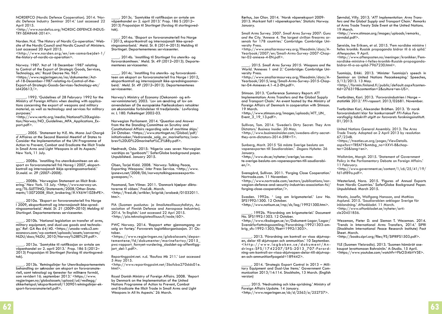NORDEFCO (Nordic Defence Cooperation). 2014. 'Nordic Defence Industry Seminar 2014.' Last accessed 22 April 2015.

<http://www.nordefco.org/NORDIC-DEFENCE-INDUS-TRY-SEMINAR-2014>.

Norden. N.d. 'The History of Nordic Co-operation.' Website of the Nordic Council and Nordic Council of Ministers. Last accessed 20 April 2015. <http://www.norden.org/en/om-samarbejdet-1/ the-history-of-nordic-co-operation>.

Norway. 1987. 'Act of 18 December 1987 relating to Control of the Export of Strategic Goods, Services, Technology, etc.' Royal Decree No. 967. <https://www.regjeringen.no/no/dokumenter/Actof-18-December-1987-relating-to-Control-of-the-Export-of-Strategic-Goods-Services-Technology-etc/ id420613/>.

\_\_\_\_\_. 1992. 'Guidelines of 28 February 1992 for the Ministry of Foreign Affairs when dealing with applications concerning the export of weapons and military materiel, as well as technology and services for military purposes.'

<http://www.vertic.org/media/National%20Legislation/Norway/NO\_Guidelines\_MFA\_Applications\_Export.pdf>.

. 2005. `Statement by H.E. Ms. Mona Juul Charaé d`Affaires at the Second Biennial Meetinf of States to Consider the Implementation of the UN Programme of Action to Prevent, Combat and Eradicate the Illicit Trade in Small Arms and Light Weapons in all its Aspects.' New York, 11 July.

\_\_\_\_. 2008a. `Innstilling fra utenrikskomiteen om eksport av forsvarsmateriell frå Noreg i 2007, eksportkontroll og internasjonalt ikkje-spreiingssamarbeid*.' St.meld. nr. 29 (2007–2008).*

\_\_\_\_. 2008b. `Norwegian Statement on Illicit Brokering.' New York. 15 July. <http://www.norway-un. org/TIL-SLETTING/Statements/2008/Other-Statements/15072008 Illicit\_brokering/#.VX6W10Z8vFE>.

\_\_\_\_. 2010a*.* `Eksport av forsvarsmateriell fra Norge I 2009, eksportkontroll og internasjonalt ikke-spredningssamarbeid.' *Meld. St. 21 (2009–2010) Melding til Stortinget*. Departementenes servicesenter.

\_\_\_\_. 2010b. `National legislation on transfer of arms, gy.' *Ref: GA Res 64/4*0. <https://unoda-web.s3.am-<br>azonaws.com/wp-content/uploads/assets/convarms/ NLDU/docs/NLDU\_2010/Norway%28E%29.pdf>.

\_\_\_\_. 2013a. `Samtykke til ratifikasjon av avtale om  $\overline{v}$ åpenhandel av 2. april 2013.` Prop. 186 S (2012– 2013) Proposisjon til Stortinget (forslag til stortingsvedtak).

\_\_\_\_. 2013b. `Retningslinjer for Utenriksdepartementets behandling av søknader om eksport av forsvarsmateriell, samt teknologi og tjenester for militære formål, som revidert 16. september 2013.' <https://www. regjeringen.no/globalassets/upload/ud/vedlegg/ sikkerhetspol/eksportkontroll/130901retningslinjer-eksport-forsvarsmateriell.pdf>.

\_\_\_\_. 2013c. `Samtykke til ratifikasjon av avtale om våpenhandel av 2. april 2013.' Prop. 186 S (2012– 2013) Proposisjon til Stortinget (forslag til stortingsvedtak).

. 2014a. `Eksport av forsvarsmateriell fra Norge i 2013, eksportkontroll og internasjonalt ikke-spredningssamarbeid.` Meld. St. 8 (2014–2015) Melding til Stortinget. Departementenes servicesenter.

\_\_\_\_. 2014b. `Innstilling til Stortinget fra utenriks- og forsvarskomiteen.` Meld. St. 49 (2012–2013). Departementenes servicesenter.

\_\_\_\_. 2014c. `Innstilling fra utenriks- og forsvarskomiteen om eksport av forsvarsmateriell fra Norge i 2012, eksportkontroll og internasjonalt ikke-spredningssamarbeid.` *Meld. St. 49 (2012–2013).* Departementenes servicesenter.

Norway's Ministry of Economy (Oekonomi- og erhvervsministeriet). 2003. `Lov om ændring af lov om anvendelsen af De europæiske Fællesskabers retsakter om økonomiske forbindelser til tredjelande.` Lovforslag nr. L 180. Folketinget 2002-03.

Norwegian Parliament. 2014. 'Question and Answer from the the Standing Committee on Scrutiny and Constitutional Affairs regarding sale of maritime ships.' 24 October. <https://www.stortinget.no/Global/pdf/ initiativsaker/Vedrorende\_salg\_av\_marinefartoy/svarbrev%20UD%20marinefat%C3%B8y.pdf>.

Nødtvedt, Oda. 2015: 'Nigeria uses seven Norwegian warships as "gunboats".' SaferGlobe background paper. Unpublished. January 2015.

Olsen, Tarjei Kidd. 2008. `Norway: Talking Peace, Exporting Weapons.' *Inte*r Press Service. <http://www. ipsnews.net/2008/06/norwaytalkingpeaceexportin $gw$ eapons $/$ .

Paamand, Tom Vilmer. 2011. 'Danmark hjælper diktatorerne til våben.' *Fred.dk.* March. <http://fred.dk/artikler/krigrisk/arabesk/01032011. htm>.

PIA (Suomen puolustus- ja ilmailuteollisuusyhdistys, Association of Finnish Defence and Aerospace Industries). 2014. 'In English.' Last accessed 22 Apri 2015. <http://pia.teknologiateollisuus.fi/node/60>.

PWC Norway. 2014. 'Rapport etter gjennomgang av salg av fartøy.' Forsvarets logistikkorganisasjon. 31 Oc-<br>tober.<br><https://www.regieringen.no/globalassets/depar-

 $t$ ementene/fd/dokumenter/marinefartoy/2015 pwc-rapport\_fornyet-vurdering\_sladdet-og-offentligg-<br>jort\_del-1.pdf>.

Reportingpoint.net. n.d. 'Raufoss Mk 211.' Last accessed 5 May 2015.

<http://www.reportingpoint.net/5bcfcba270ddc01e. html>.

Royal Danish Ministry of Foreign Affairs. 2008. `Report by Denmark on the Implementation of the United Nations Programme of Action to Prevent, Combat and Eradicate the Illicit Trade in Small Arms and Light Weapons in All Its Aspects.' 26 March.

Rørhus, Jan Olav. 2014. `Norsk våpeneksport 2009- 2013. Markant fall i våpeneksporten.' *Statistic Norway.* January.

Small Arms Survey. 2007. *Small Arms Survey 2007: Guns and the City.* 'Annexe 4. The largest civilian firearms arsenals for 178 countries.' Cambridge: Cambridge University Press.

<http://www.smallarmssurvey.org/fileadmin/docs/A-Yearbook/2007/en/Small-Arms-Survey-2007-Chapter-02-annexe-4-EN.pdf>.

\_\_\_\_. 2015. *Small Arms Survey 2015: Weapons and the World.* 'Annexes 1 and 2.' Cambridge: Cambridge University Press.

<http://www.smallarmssurvey.org/fileadmin/docs/A-Yearbook/2015/eng/Small-Arms-Survey-2015-Chapter-04-Annexes-4.1-4.2-EN.pdf>.

Stimson. 2013. 'Conference Summary Report: ATT Implementation: Arms Transfers and the Global Supply and Transport Chain.' An event hosted by the Ministry of Foreign Affairs of Denmark in cooperation with Stimson. 19 March.

<http://www.stimson.org/images/uploads/ATT\_UN\_ Event  $3$  19 13.pdf>.

Sullivan, Tom. 2014. 'Sweden's Dirty Secret: They Arm Dictators.' *Business Insider*. 20 May. <http://www.businessinsider.com/swedens-dirty-secretthey-arm-dictators-2014-5?IR=T>.

Sunberg, Marit. 2015 'Så måste Sverige besluta om vapenexporten till Saudiarabien.' *Dagens Nyheter.* 26 January.

<http://www.dn.se/nyheter/sverige/sa-maste-sverige-besluta-om-vapenexporten-till-saudiarabien/>.

Svensgård, Sullivan. 2011. 'Forging Close Cooperation.' Nortrade.com. 11 November. <http://www.nortrade.com/sectors/publications/nor-

wegian-defence-and-security-industries-association-fsi/ forging-close-cooperation/>.

Sweden. 1992a. ' Lag om krigsmateriel.' Law No. SFS1992:1300. 12 October. <http://www.notisum.se/rnp/sls/lag/19921300.htm>.

\_\_\_\_\_. 1992b. 'Förordning om krigsmateriel.' Document No. SFS1992:1303. 12 October.

<http://www.riksdagen.se/sv/Dokument-Lagar/Lagar/ Svenskforfattningssamling/Forordning-19921303-om $kriq$  sfs-1992-1303/?bet=1992:1303>.

\_\_\_\_\_. 2013. 'Förordning om kontroll av vissa skjutvap- en, delar till skjutvapen och ammunition.' 10 September.  $\frac{1}{\pi}$ drings- $\frac{2}{5}$ FS/1742207/SFS-2013\_707-Fo $\frac{1}{2}$ rord- ning-om-kontroll-av-vissa-skjutvapen-delar-till-skjutvapen-och-ammunition?pageid=189442>.

\_\_\_\_\_. 2014. 'Strategic Export Control in 2013 – Military Equipment and Dual-Use Items.' Government Communication 2013/14:114. Stockholm, 13 March. (English version)

\_\_\_\_. 2015. 'Nedrustning och icke-spridning.' Ministry of Foreign Affairs Update. 14 January.  $\frac{1}{100}$  //www.regeringen.se/sb/d/2563/a/252757>.

Søvndal, Villy. 2013. '*ATT Implementation: Arms Transfers and the Global Supply and Transport Chain.' Remarks at* Arms Trade Treaty Side Event at the United Nations. 19 March.

<http://www.stimson.org/images/uploads/remarks\_ sovndal.pdf>.

Søreide, Ine Eriksen, et al. 2015. 'Fem nordiske ministre i felles kronikk: Russisk propaganda bidrar til å så splid.' *Aftenposten*. 9 April.

<http://www.aftenposten.no/meninger/kronikker/Femnordiske-ministre-i-felles-kronikk-Russisk-propagandabidrar-til-a-sa-splid-7967230.html>.

Tuomioja, Erkki. 2013. 'Minister Tuomioja's speech in Seminar on United Nations Peacekeeping.' Speeches, 5/13/2013. 13 May. <http://formin.finland.fi/public/default.aspx?contentid=276319&contentlan=2&culture=en-US>.

Tvetbråten, Kari. 2013. `Forsvarsindustrien i Norge – statistikk 2012.' *FFI-rapoort*. 2013/02681. November.

Tvetbråten Kari, Alexander Bråthen. 2013. `Er norsk forsvarsindustri klar for konkurranse?' *FFI-Fokus Forsvarsfaglig tidsskrift utgitt av forsvarets forskningsinstitutt.*  01/2013.

United Nations General Assembly. 2013. *The Arms Trade Treaty.* Adopted on 2 April 2013 by resolution 67/234B. <https://treaties.un.org/pages/ViewDetails. aspx?src=TREATY&mtdsg\_no=XXVI-8&chapter=26&lang=en>.

Wallström, Margit. 2015. 'Statement of Government Policy in the Parliamentary Debate on Foreian Affairs.' 11 February.

<http://www.government.se/content/1/c6/25/41/19/ fd $1$ df $89a$ .pdf $\geq$ .

Westerlund, Nora. 2015. 'Figures of Annual Exports from Nordic Countries.' SaferGlobe Background Paper. Unpublished. March 2015.

Westin, Josefin, Wolfgang Hansson, and Mathias Asplund. 2015. 'Saudiarabien anklagar Sverige för inblandning.' *Aftonbladet*. 11 March. <http://www.aftonbladet.se/nyheter/article20451856.

Wezeman, Pieter D. and Siemon T. Wezeman. 2014. 'Trends in International Arms Transfers, 2014.' SIPRI (Stockholm International Peace Research Institute) Fact Sheet. March.

<http://books.sipri.org/files/FS/SIPRIFS1503.pdf>.

YLE (Suomen Yleisradio). 2013. 'Suomen hämärät ase- kaupat levottomaan Bahrainiin.' A-Studio. 15 April. <https://www.youtube.com/watch?v=FbO3i4bVV5E>.